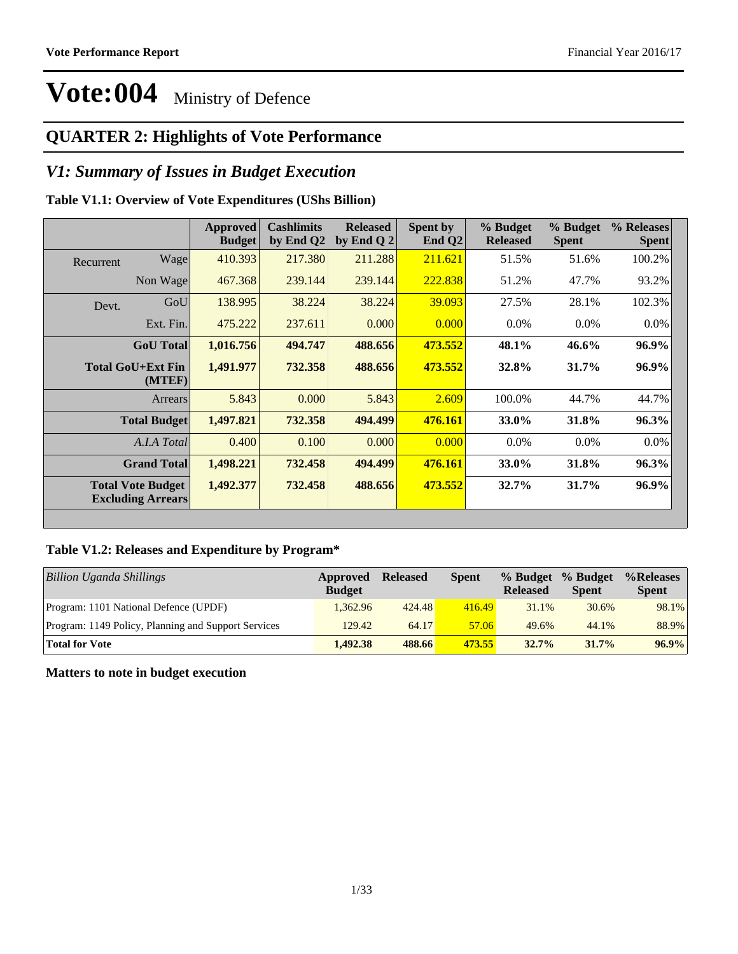### **QUARTER 2: Highlights of Vote Performance**

#### *V1: Summary of Issues in Budget Execution*

#### **Table V1.1: Overview of Vote Expenditures (UShs Billion)**

|           |                                                      | <b>Approved</b><br><b>Budget</b> | <b>Cashlimits</b><br>by End Q2 | <b>Released</b><br>by End Q $2$ | Spent by<br>End $Q2$ | % Budget<br><b>Released</b> | % Budget<br><b>Spent</b> | % Releases<br><b>Spent</b> |
|-----------|------------------------------------------------------|----------------------------------|--------------------------------|---------------------------------|----------------------|-----------------------------|--------------------------|----------------------------|
| Recurrent | Wage                                                 | 410.393                          | 217.380                        | 211.288                         | 211.621              | 51.5%                       | 51.6%                    | 100.2%                     |
|           | Non Wage                                             | 467.368                          | 239.144                        | 239.144                         | 222.838              | 51.2%                       | 47.7%                    | 93.2%                      |
| Devt.     | GoU                                                  | 138.995                          | 38.224                         | 38.224                          | 39.093               | 27.5%                       | 28.1%                    | 102.3%                     |
|           | Ext. Fin.                                            | 475.222                          | 237.611                        | 0.000                           | 0.000                | $0.0\%$                     | $0.0\%$                  | $0.0\%$                    |
|           | <b>GoU</b> Total                                     | 1,016.756                        | 494.747                        | 488.656                         | 473.552              | 48.1%                       | 46.6%                    | 96.9%                      |
|           | Total GoU+Ext Fin<br>(MTEF)                          | 1,491.977                        | 732.358                        | 488.656                         | 473.552              | 32.8%                       | 31.7%                    | $96.9\%$                   |
|           | Arrears                                              | 5.843                            | 0.000                          | 5.843                           | 2.609                | 100.0%                      | 44.7%                    | 44.7%                      |
|           | <b>Total Budget</b>                                  | 1,497.821                        | 732.358                        | 494.499                         | 476.161              | 33.0%                       | 31.8%                    | 96.3%                      |
|           | A.I.A Total                                          | 0.400                            | 0.100                          | 0.000                           | 0.000                | $0.0\%$                     | $0.0\%$                  | $0.0\%$                    |
|           | <b>Grand Total</b>                                   | 1,498.221                        | 732.458                        | 494.499                         | 476.161              | 33.0%                       | 31.8%                    | $96.3\%$                   |
|           | <b>Total Vote Budget</b><br><b>Excluding Arrears</b> | 1,492.377                        | 732.458                        | 488.656                         | 473.552              | 32.7%                       | 31.7%                    | $96.9\%$                   |

#### **Table V1.2: Releases and Expenditure by Program\***

| <b>Billion Uganda Shillings</b>                     | Approved<br><b>Budget</b> | <b>Released</b> | <b>Spent</b> | % Budget<br><b>Released</b> | % Budget<br><b>Spent</b> | %Releases<br><b>Spent</b> |
|-----------------------------------------------------|---------------------------|-----------------|--------------|-----------------------------|--------------------------|---------------------------|
| Program: 1101 National Defence (UPDF)               | 1.362.96                  | 424.48          | 416.49       | 31.1%                       | 30.6%                    | 98.1%                     |
| Program: 1149 Policy, Planning and Support Services | 129.42                    | 64.17           | 57.06        | 49.6%                       | 44.1%                    | 88.9%                     |
| <b>Total for Vote</b>                               | 1.492.38                  | 488.66          | 473.55       | 32.7%                       | 31.7%                    | 96.9%                     |

#### **Matters to note in budget execution**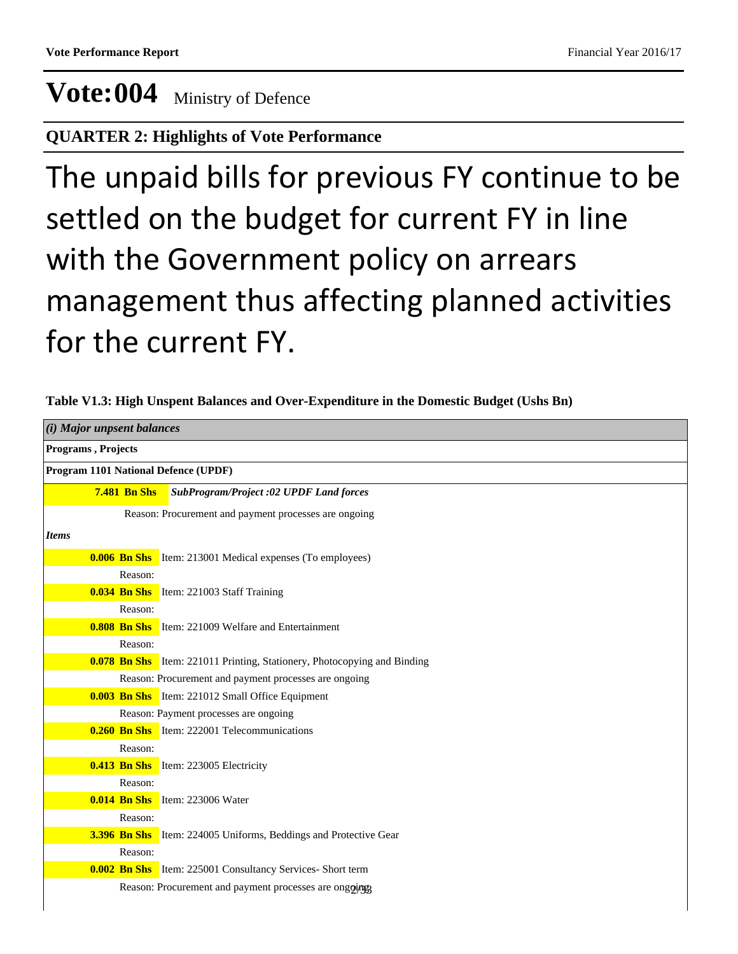#### **QUARTER 2: Highlights of Vote Performance**

# The unpaid bills for previous FY continue to be settled on the budget for current FY in line with the Government policy on arrears management thus affecting planned activities for the current FY.

| $(i)$ Major unpsent balances         |                                                                                 |
|--------------------------------------|---------------------------------------------------------------------------------|
| Programs, Projects                   |                                                                                 |
| Program 1101 National Defence (UPDF) |                                                                                 |
| <b>7.481 Bn Shs</b>                  | <b>SubProgram/Project :02 UPDF Land forces</b>                                  |
|                                      | Reason: Procurement and payment processes are ongoing                           |
| <b>Items</b>                         |                                                                                 |
|                                      | <b>0.006 Bn Shs</b> Item: 213001 Medical expenses (To employees)                |
| Reason:                              |                                                                                 |
|                                      | <b>0.034 Bn Shs</b> Item: 221003 Staff Training                                 |
| Reason:                              |                                                                                 |
|                                      | <b>0.808 Bn Shs</b> Item: 221009 Welfare and Entertainment                      |
| Reason:                              |                                                                                 |
|                                      | <b>0.078 Bn Shs</b> Item: 221011 Printing, Stationery, Photocopying and Binding |
|                                      | Reason: Procurement and payment processes are ongoing                           |
|                                      | <b>0.003 Bn Shs</b> Item: 221012 Small Office Equipment                         |
|                                      | Reason: Payment processes are ongoing                                           |
|                                      | <b>0.260 Bn Shs</b> Item: 222001 Telecommunications                             |
| Reason:                              |                                                                                 |
|                                      | <b>0.413 Bn Shs</b> Item: 223005 Electricity                                    |
| Reason:                              |                                                                                 |
|                                      | <b>0.014 Bn Shs</b> Item: 223006 Water                                          |
| Reason:                              |                                                                                 |
|                                      | <b>3.396 Bn Shs</b> Item: 224005 Uniforms, Beddings and Protective Gear         |
| Reason:                              |                                                                                 |
|                                      | <b>0.002 Bn Shs</b> Item: 225001 Consultancy Services- Short term               |
|                                      | Reason: Procurement and payment processes are ongoing                           |
|                                      |                                                                                 |

**Table V1.3: High Unspent Balances and Over-Expenditure in the Domestic Budget (Ushs Bn)**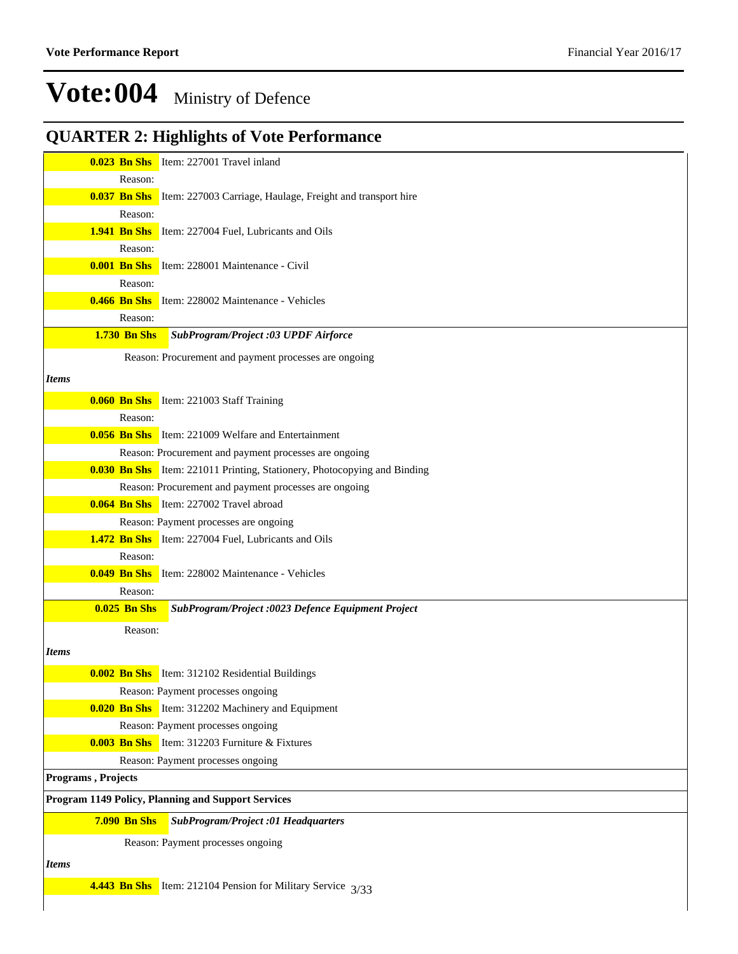### **QUARTER 2: Highlights of Vote Performance**

|                     | <b>0.023 Bn Shs</b> Item: 227001 Travel inland                                  |
|---------------------|---------------------------------------------------------------------------------|
|                     | Reason:                                                                         |
|                     | <b>0.037 Bn Shs</b> Item: 227003 Carriage, Haulage, Freight and transport hire  |
|                     | Reason:                                                                         |
|                     | <b>1.941 Bn Shs</b> Item: 227004 Fuel, Lubricants and Oils                      |
|                     | Reason:                                                                         |
|                     | 0.001 Bn Shs Item: 228001 Maintenance - Civil                                   |
|                     | Reason:                                                                         |
| $0.466$ Bn Shs      | Item: 228002 Maintenance - Vehicles                                             |
|                     | Reason:                                                                         |
| <b>1.730 Bn Shs</b> | SubProgram/Project :03 UPDF Airforce                                            |
|                     | Reason: Procurement and payment processes are ongoing                           |
|                     |                                                                                 |
| <i>Items</i>        |                                                                                 |
|                     | <b>0.060 Bn Shs</b> Item: 221003 Staff Training                                 |
|                     | Reason:                                                                         |
|                     | <b>0.056 Bn Shs</b> Item: 221009 Welfare and Entertainment                      |
|                     | Reason: Procurement and payment processes are ongoing                           |
|                     | <b>0.030 Bn Shs</b> Item: 221011 Printing, Stationery, Photocopying and Binding |
|                     | Reason: Procurement and payment processes are ongoing                           |
|                     | <b>0.064 Bn Shs</b> Item: 227002 Travel abroad                                  |
|                     | Reason: Payment processes are ongoing                                           |
|                     | <b>1.472 Bn Shs</b> Item: 227004 Fuel, Lubricants and Oils                      |
|                     | Reason:                                                                         |
|                     | 0.049 Bn Shs Item: 228002 Maintenance - Vehicles                                |
|                     | Reason:                                                                         |
| <b>0.025 Bn Shs</b> | SubProgram/Project :0023 Defence Equipment Project                              |
|                     | Reason:                                                                         |
|                     |                                                                                 |
| <i>Items</i>        |                                                                                 |
|                     | <b>0.002 Bn Shs</b> Item: 312102 Residential Buildings                          |
|                     | Reason: Payment processes ongoing                                               |
|                     | <b>0.020 Bn Shs</b> Item: 312202 Machinery and Equipment                        |
|                     | Reason: Payment processes ongoing                                               |
|                     | <b>0.003 Bn Shs</b> Item: 312203 Furniture $\&$ Fixtures                        |
|                     | Reason: Payment processes ongoing                                               |
| Programs, Projects  |                                                                                 |
|                     | Program 1149 Policy, Planning and Support Services                              |
| <b>7.090 Bn Shs</b> | <b>SubProgram/Project :01 Headquarters</b>                                      |
|                     | Reason: Payment processes ongoing                                               |
|                     |                                                                                 |
| <b>Items</b>        |                                                                                 |
|                     | 4.443 Bn Shs Item: 212104 Pension for Military Service 3/33                     |
|                     |                                                                                 |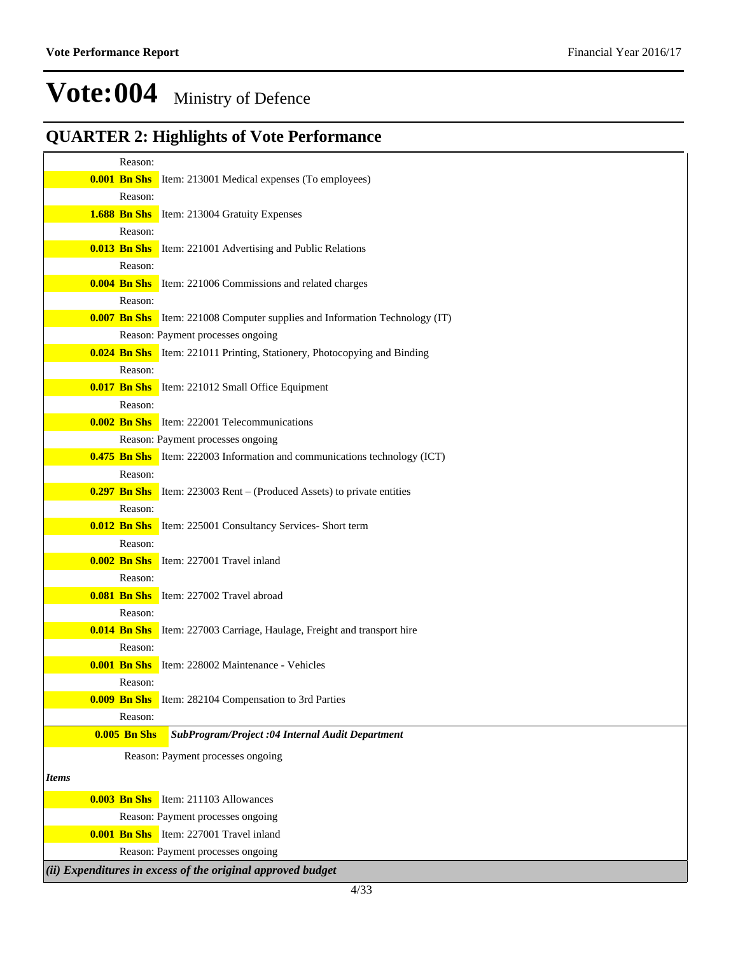### **QUARTER 2: Highlights of Vote Performance**

| Reason:             |                                                                                    |
|---------------------|------------------------------------------------------------------------------------|
|                     | <b>0.001 Bn Shs</b> Item: 213001 Medical expenses (To employees)                   |
| Reason:             |                                                                                    |
|                     | <b>1.688 Bn Shs</b> Item: 213004 Gratuity Expenses                                 |
| Reason:             |                                                                                    |
|                     | <b>0.013 Bn Shs</b> Item: 221001 Advertising and Public Relations                  |
| Reason:             |                                                                                    |
|                     | <b>0.004 Bn Shs</b> Item: 221006 Commissions and related charges                   |
| Reason:             |                                                                                    |
|                     | <b>0.007 Bn Shs</b> Item: 221008 Computer supplies and Information Technology (IT) |
|                     | Reason: Payment processes ongoing                                                  |
| Reason:             | <b>0.024 Bn Shs</b> Item: 221011 Printing, Stationery, Photocopying and Binding    |
|                     | <b>0.017 Bn Shs</b> Item: 221012 Small Office Equipment                            |
| Reason:             |                                                                                    |
|                     | <b>0.002 Bn Shs</b> Item: 222001 Telecommunications                                |
|                     | Reason: Payment processes ongoing                                                  |
|                     | <b>0.475 Bn Shs</b> Item: 222003 Information and communications technology (ICT)   |
| Reason:             |                                                                                    |
|                     | <b>0.297 Bn Shs</b> Item: 223003 Rent – (Produced Assets) to private entities      |
| Reason:             |                                                                                    |
|                     | <b>0.012 Bn Shs</b> Item: 225001 Consultancy Services- Short term                  |
| Reason:             |                                                                                    |
|                     | <b>0.002 Bn Shs</b> Item: 227001 Travel inland                                     |
| Reason:             |                                                                                    |
|                     | <b>0.081 Bn Shs</b> Item: 227002 Travel abroad                                     |
| Reason:             |                                                                                    |
|                     | <b>0.014 Bn Shs</b> Item: 227003 Carriage, Haulage, Freight and transport hire     |
| Reason:             |                                                                                    |
| <b>0.001 Bn Shs</b> | Item: 228002 Maintenance - Vehicles                                                |
| Reason:             |                                                                                    |
| Reason:             | <b>0.009 Bn Shs</b> Item: 282104 Compensation to 3rd Parties                       |
| <b>0.005 Bn Shs</b> | SubProgram/Project :04 Internal Audit Department                                   |
|                     | Reason: Payment processes ongoing                                                  |
|                     |                                                                                    |
| <b>Items</b>        |                                                                                    |
|                     | <b>0.003 Bn Shs</b> Item: 211103 Allowances                                        |
|                     | Reason: Payment processes ongoing                                                  |
|                     | <b>0.001 Bn Shs</b> Item: 227001 Travel inland                                     |
|                     | Reason: Payment processes ongoing                                                  |
|                     | (ii) Expenditures in excess of the original approved budget                        |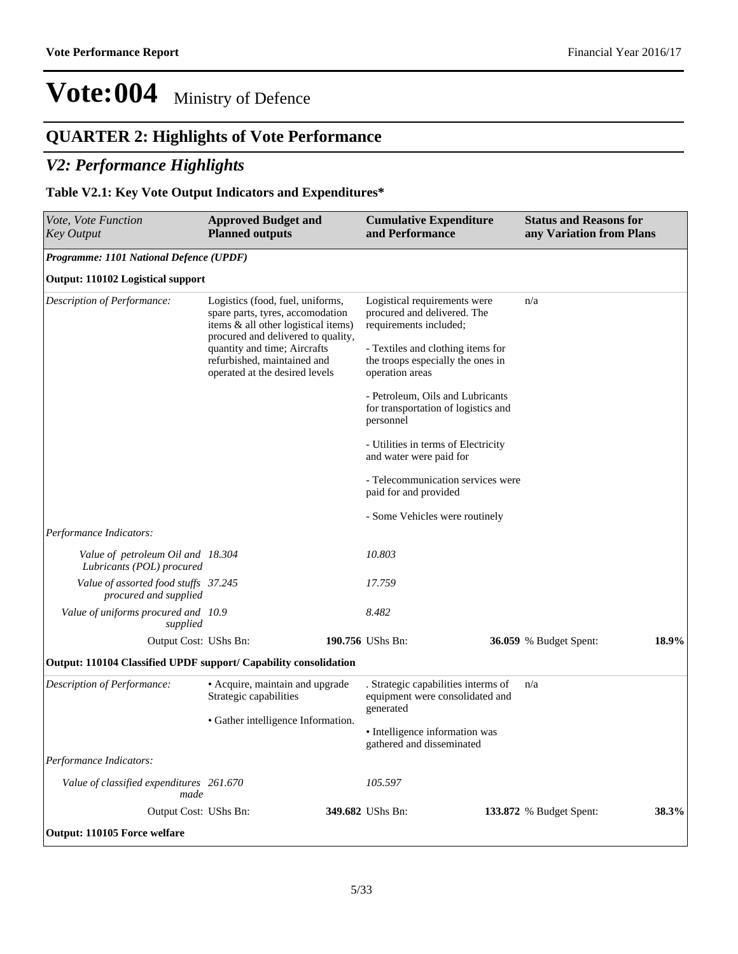### **QUARTER 2: Highlights of Vote Performance**

#### *V2: Performance Highlights*

#### **Table V2.1: Key Vote Output Indicators and Expenditures\***

| Vote, Vote Function<br><b>Key Output</b>                         | <b>Approved Budget and</b><br><b>Planned outputs</b>                                                                                              | <b>Cumulative Expenditure</b><br>and Performance                                          | <b>Status and Reasons for</b><br>any Variation from Plans |       |
|------------------------------------------------------------------|---------------------------------------------------------------------------------------------------------------------------------------------------|-------------------------------------------------------------------------------------------|-----------------------------------------------------------|-------|
| Programme: 1101 National Defence (UPDF)                          |                                                                                                                                                   |                                                                                           |                                                           |       |
| Output: 110102 Logistical support                                |                                                                                                                                                   |                                                                                           |                                                           |       |
| Description of Performance:                                      | Logistics (food, fuel, uniforms,<br>spare parts, tyres, accomodation<br>items & all other logistical items)<br>procured and delivered to quality, | Logistical requirements were<br>procured and delivered. The<br>requirements included;     | n/a                                                       |       |
|                                                                  | quantity and time; Aircrafts<br>refurbished, maintained and<br>operated at the desired levels                                                     | - Textiles and clothing items for<br>the troops especially the ones in<br>operation areas |                                                           |       |
|                                                                  |                                                                                                                                                   | - Petroleum, Oils and Lubricants<br>for transportation of logistics and<br>personnel      |                                                           |       |
|                                                                  |                                                                                                                                                   | - Utilities in terms of Electricity<br>and water were paid for                            |                                                           |       |
|                                                                  |                                                                                                                                                   | - Telecommunication services were<br>paid for and provided                                |                                                           |       |
|                                                                  |                                                                                                                                                   | - Some Vehicles were routinely                                                            |                                                           |       |
| Performance Indicators:                                          |                                                                                                                                                   |                                                                                           |                                                           |       |
| Value of petroleum Oil and 18.304<br>Lubricants (POL) procured   |                                                                                                                                                   | 10.803                                                                                    |                                                           |       |
| Value of assorted food stuffs 37.245<br>procured and supplied    |                                                                                                                                                   | 17.759                                                                                    |                                                           |       |
| Value of uniforms procured and 10.9<br>supplied                  |                                                                                                                                                   | 8.482                                                                                     |                                                           |       |
| Output Cost: UShs Bn:                                            |                                                                                                                                                   | 190.756 UShs Bn:                                                                          | <b>36.059</b> % Budget Spent:                             | 18.9% |
| Output: 110104 Classified UPDF support/ Capability consolidation |                                                                                                                                                   |                                                                                           |                                                           |       |
| Description of Performance:                                      | • Acquire, maintain and upgrade<br>Strategic capabilities                                                                                         | . Strategic capabilities interms of<br>equipment were consolidated and<br>generated       | n/a                                                       |       |
|                                                                  | • Gather intelligence Information.                                                                                                                | • Intelligence information was<br>gathered and disseminated                               |                                                           |       |
| Performance Indicators:                                          |                                                                                                                                                   |                                                                                           |                                                           |       |
| Value of classified expenditures 261.670<br>made                 |                                                                                                                                                   | 105.597                                                                                   |                                                           |       |
| Output Cost: UShs Bn:                                            |                                                                                                                                                   | 349.682 UShs Bn:                                                                          | <b>133.872</b> % Budget Spent:                            | 38.3% |
| Output: 110105 Force welfare                                     |                                                                                                                                                   |                                                                                           |                                                           |       |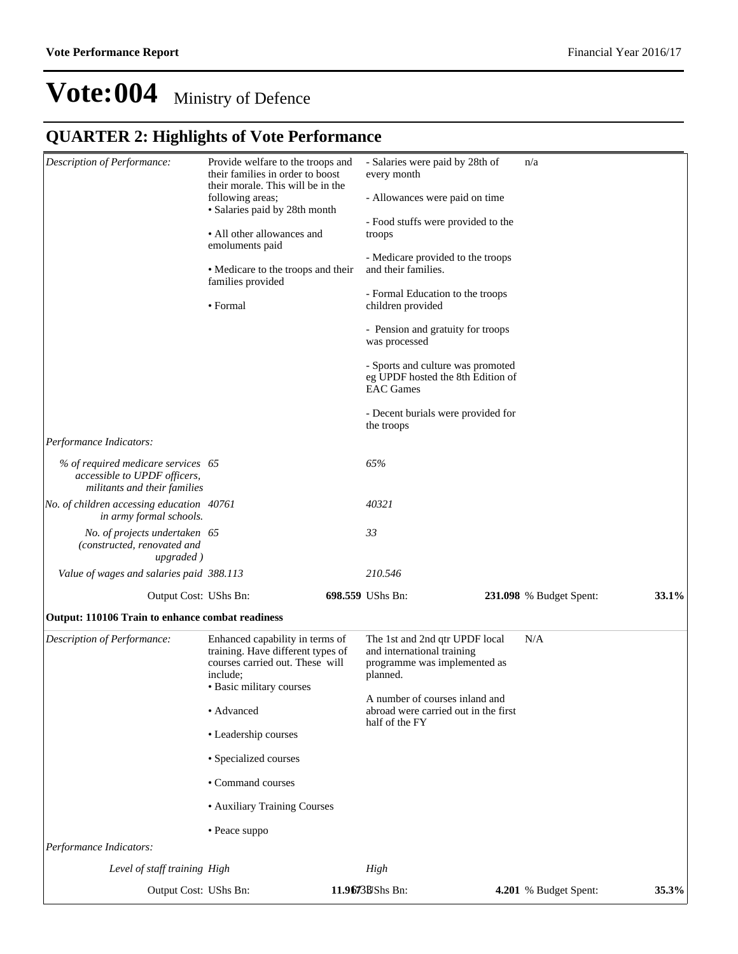### **QUARTER 2: Highlights of Vote Performance**

| Description of Performance:                                                                        | Provide welfare to the troops and<br>their families in order to boost<br>their morale. This will be in the<br>following areas;<br>• Salaries paid by 28th month<br>• All other allowances and<br>emoluments paid<br>• Medicare to the troops and their<br>families provided<br>• Formal |  | - Salaries were paid by 28th of<br>every month<br>- Allowances were paid on time<br>- Food stuffs were provided to the<br>troops<br>- Medicare provided to the troops<br>and their families.<br>- Formal Education to the troops<br>children provided<br>- Pension and gratuity for troops<br>was processed | n/a                            |       |
|----------------------------------------------------------------------------------------------------|-----------------------------------------------------------------------------------------------------------------------------------------------------------------------------------------------------------------------------------------------------------------------------------------|--|-------------------------------------------------------------------------------------------------------------------------------------------------------------------------------------------------------------------------------------------------------------------------------------------------------------|--------------------------------|-------|
|                                                                                                    |                                                                                                                                                                                                                                                                                         |  | - Sports and culture was promoted<br>eg UPDF hosted the 8th Edition of<br><b>EAC</b> Games                                                                                                                                                                                                                  |                                |       |
|                                                                                                    |                                                                                                                                                                                                                                                                                         |  | - Decent burials were provided for<br>the troops                                                                                                                                                                                                                                                            |                                |       |
| Performance Indicators:                                                                            |                                                                                                                                                                                                                                                                                         |  |                                                                                                                                                                                                                                                                                                             |                                |       |
| % of required medicare services 65<br>accessible to UPDF officers,<br>militants and their families |                                                                                                                                                                                                                                                                                         |  | 65%                                                                                                                                                                                                                                                                                                         |                                |       |
| No. of children accessing education 40761<br>in army formal schools.                               |                                                                                                                                                                                                                                                                                         |  | 40321                                                                                                                                                                                                                                                                                                       |                                |       |
| No. of projects undertaken 65<br>(constructed, renovated and<br>upgraded)                          |                                                                                                                                                                                                                                                                                         |  | 33                                                                                                                                                                                                                                                                                                          |                                |       |
| Value of wages and salaries paid 388.113                                                           |                                                                                                                                                                                                                                                                                         |  | 210.546                                                                                                                                                                                                                                                                                                     |                                |       |
| Output Cost: UShs Bn:                                                                              |                                                                                                                                                                                                                                                                                         |  | 698.559 UShs Bn:                                                                                                                                                                                                                                                                                            | <b>231.098</b> % Budget Spent: | 33.1% |
| Output: 110106 Train to enhance combat readiness                                                   |                                                                                                                                                                                                                                                                                         |  |                                                                                                                                                                                                                                                                                                             |                                |       |
| Description of Performance:                                                                        | Enhanced capability in terms of<br>training. Have different types of<br>courses carried out. These will<br>include:<br>• Basic military courses                                                                                                                                         |  | The 1st and 2nd qtr UPDF local<br>and international training<br>programme was implemented as<br>planned.                                                                                                                                                                                                    | N/A                            |       |
|                                                                                                    | • Advanced                                                                                                                                                                                                                                                                              |  | A number of courses inland and<br>abroad were carried out in the first                                                                                                                                                                                                                                      |                                |       |
|                                                                                                    | • Leadership courses                                                                                                                                                                                                                                                                    |  | half of the FY                                                                                                                                                                                                                                                                                              |                                |       |
|                                                                                                    | · Specialized courses                                                                                                                                                                                                                                                                   |  |                                                                                                                                                                                                                                                                                                             |                                |       |
|                                                                                                    | • Command courses                                                                                                                                                                                                                                                                       |  |                                                                                                                                                                                                                                                                                                             |                                |       |
|                                                                                                    | • Auxiliary Training Courses                                                                                                                                                                                                                                                            |  |                                                                                                                                                                                                                                                                                                             |                                |       |
|                                                                                                    | • Peace suppo                                                                                                                                                                                                                                                                           |  |                                                                                                                                                                                                                                                                                                             |                                |       |
| Performance Indicators:                                                                            |                                                                                                                                                                                                                                                                                         |  |                                                                                                                                                                                                                                                                                                             |                                |       |
| Level of staff training High                                                                       |                                                                                                                                                                                                                                                                                         |  | High                                                                                                                                                                                                                                                                                                        |                                |       |
| Output Cost: UShs Bn:                                                                              |                                                                                                                                                                                                                                                                                         |  | 11.9673BShs Bn:                                                                                                                                                                                                                                                                                             | 4.201 % Budget Spent:          | 35.3% |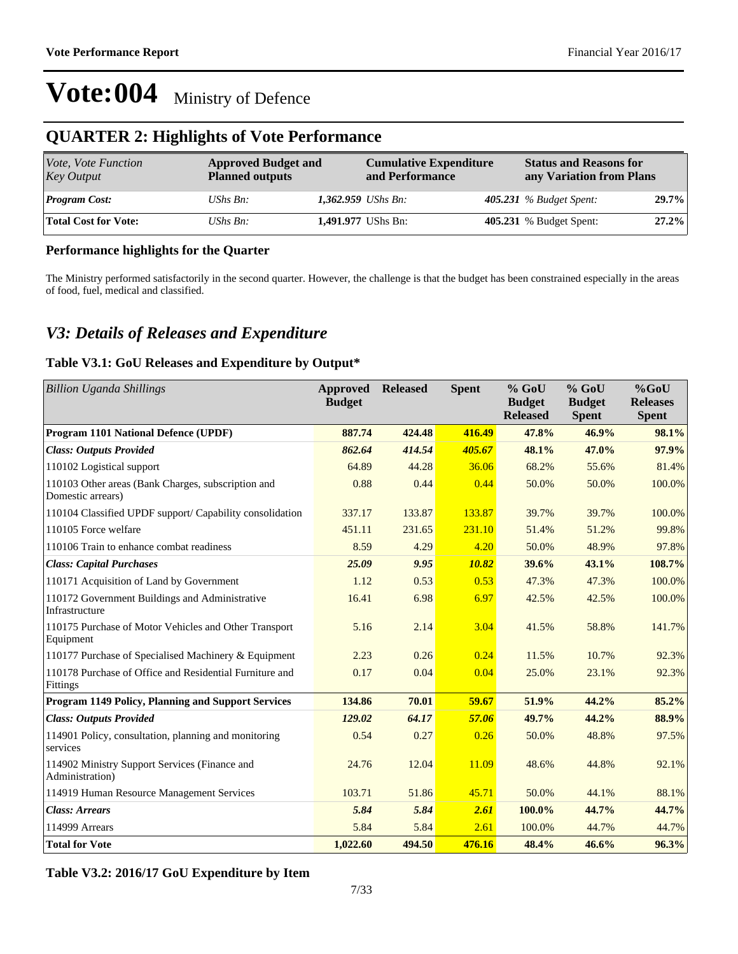#### **QUARTER 2: Highlights of Vote Performance**

| Vote, Vote Function<br>Key Output | <b>Approved Budget and</b><br><b>Planned outputs</b> |                            | <b>Cumulative Expenditure</b><br>and Performance | <b>Status and Reasons for</b><br>any Variation from Plans |       |  |
|-----------------------------------|------------------------------------------------------|----------------------------|--------------------------------------------------|-----------------------------------------------------------|-------|--|
| <b>Program Cost:</b>              | UShs $Bn$ :                                          | 1,362.959 <i>UShs Bn</i> : |                                                  | 405.231 $%$ Budget Spent:                                 | 29.7% |  |
| Total Cost for Vote:              | UShs $Bn$ :                                          |                            | 1,491.977 UShs Bn:                               | 405.231 % Budget Spent:                                   | 27.2% |  |

#### **Performance highlights for the Quarter**

The Ministry performed satisfactorily in the second quarter. However, the challenge is that the budget has been constrained especially in the areas of food, fuel, medical and classified.

#### *V3: Details of Releases and Expenditure*

#### **Table V3.1: GoU Releases and Expenditure by Output\***

| <b>Billion Uganda Shillings</b>                                         | <b>Approved</b><br><b>Budget</b> | <b>Released</b> | <b>Spent</b> | $%$ GoU<br><b>Budget</b><br><b>Released</b> | $%$ GoU<br><b>Budget</b><br><b>Spent</b> | %GoU<br><b>Releases</b><br><b>Spent</b> |
|-------------------------------------------------------------------------|----------------------------------|-----------------|--------------|---------------------------------------------|------------------------------------------|-----------------------------------------|
| <b>Program 1101 National Defence (UPDF)</b>                             | 887.74                           | 424.48          | 416.49       | 47.8%                                       | 46.9%                                    | 98.1%                                   |
| <b>Class: Outputs Provided</b>                                          | 862.64                           | 414.54          | 405.67       | 48.1%                                       | 47.0%                                    | 97.9%                                   |
| 110102 Logistical support                                               | 64.89                            | 44.28           | 36.06        | 68.2%                                       | 55.6%                                    | 81.4%                                   |
| 110103 Other areas (Bank Charges, subscription and<br>Domestic arrears) | 0.88                             | 0.44            | 0.44         | 50.0%                                       | 50.0%                                    | 100.0%                                  |
| 110104 Classified UPDF support/ Capability consolidation                | 337.17                           | 133.87          | 133.87       | 39.7%                                       | 39.7%                                    | 100.0%                                  |
| 110105 Force welfare                                                    | 451.11                           | 231.65          | 231.10       | 51.4%                                       | 51.2%                                    | 99.8%                                   |
| 110106 Train to enhance combat readiness                                | 8.59                             | 4.29            | 4.20         | 50.0%                                       | 48.9%                                    | 97.8%                                   |
| <b>Class: Capital Purchases</b>                                         | 25.09                            | 9.95            | 10.82        | 39.6%                                       | 43.1%                                    | 108.7%                                  |
| 110171 Acquisition of Land by Government                                | 1.12                             | 0.53            | 0.53         | 47.3%                                       | 47.3%                                    | 100.0%                                  |
| 110172 Government Buildings and Administrative<br>Infrastructure        | 16.41                            | 6.98            | 6.97         | 42.5%                                       | 42.5%                                    | 100.0%                                  |
| 110175 Purchase of Motor Vehicles and Other Transport<br>Equipment      | 5.16                             | 2.14            | 3.04         | 41.5%                                       | 58.8%                                    | 141.7%                                  |
| 110177 Purchase of Specialised Machinery & Equipment                    | 2.23                             | 0.26            | 0.24         | 11.5%                                       | 10.7%                                    | 92.3%                                   |
| 110178 Purchase of Office and Residential Furniture and<br>Fittings     | 0.17                             | 0.04            | 0.04         | 25.0%                                       | 23.1%                                    | 92.3%                                   |
| Program 1149 Policy, Planning and Support Services                      | 134.86                           | 70.01           | 59.67        | 51.9%                                       | 44.2%                                    | 85.2%                                   |
| <b>Class: Outputs Provided</b>                                          | 129.02                           | 64.17           | 57.06        | 49.7%                                       | 44.2%                                    | 88.9%                                   |
| 114901 Policy, consultation, planning and monitoring<br>services        | 0.54                             | 0.27            | 0.26         | 50.0%                                       | 48.8%                                    | 97.5%                                   |
| 114902 Ministry Support Services (Finance and<br>Administration)        | 24.76                            | 12.04           | 11.09        | 48.6%                                       | 44.8%                                    | 92.1%                                   |
| 114919 Human Resource Management Services                               | 103.71                           | 51.86           | 45.71        | 50.0%                                       | 44.1%                                    | 88.1%                                   |
| <b>Class: Arrears</b>                                                   | 5.84                             | 5.84            | 2.61         | 100.0%                                      | 44.7%                                    | 44.7%                                   |
| 114999 Arrears                                                          | 5.84                             | 5.84            | 2.61         | 100.0%                                      | 44.7%                                    | 44.7%                                   |
| <b>Total for Vote</b>                                                   | 1.022.60                         | 494.50          | 476.16       | 48.4%                                       | 46.6%                                    | 96.3%                                   |

**Table V3.2: 2016/17 GoU Expenditure by Item**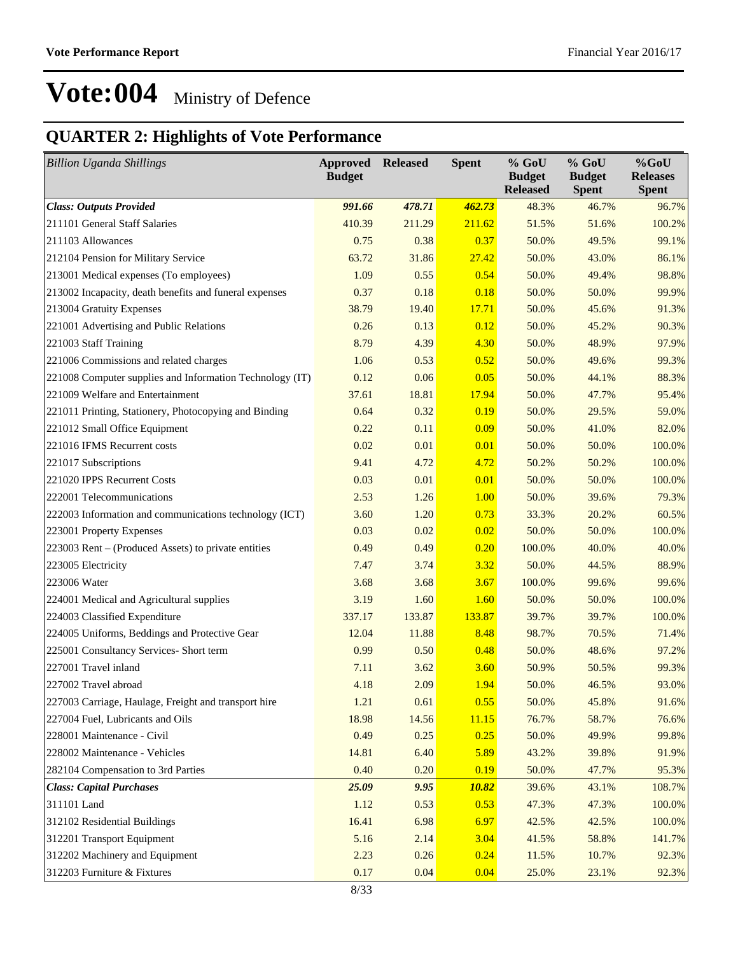### **QUARTER 2: Highlights of Vote Performance**

| <b>Billion Uganda Shillings</b>                          | <b>Approved</b><br><b>Budget</b> | <b>Released</b> | <b>Spent</b> | % GoU<br><b>Budget</b><br><b>Released</b> | $%$ GoU<br><b>Budget</b><br><b>Spent</b> | $%$ GoU<br><b>Releases</b><br><b>Spent</b> |
|----------------------------------------------------------|----------------------------------|-----------------|--------------|-------------------------------------------|------------------------------------------|--------------------------------------------|
| <b>Class: Outputs Provided</b>                           | 991.66                           | 478.71          | 462.73       | 48.3%                                     | 46.7%                                    | 96.7%                                      |
| 211101 General Staff Salaries                            | 410.39                           | 211.29          | 211.62       | 51.5%                                     | 51.6%                                    | 100.2%                                     |
| 211103 Allowances                                        | 0.75                             | 0.38            | 0.37         | 50.0%                                     | 49.5%                                    | 99.1%                                      |
| 212104 Pension for Military Service                      | 63.72                            | 31.86           | 27.42        | 50.0%                                     | 43.0%                                    | 86.1%                                      |
| 213001 Medical expenses (To employees)                   | 1.09                             | 0.55            | 0.54         | 50.0%                                     | 49.4%                                    | 98.8%                                      |
| 213002 Incapacity, death benefits and funeral expenses   | 0.37                             | 0.18            | 0.18         | 50.0%                                     | 50.0%                                    | 99.9%                                      |
| 213004 Gratuity Expenses                                 | 38.79                            | 19.40           | <b>17.71</b> | 50.0%                                     | 45.6%                                    | 91.3%                                      |
| 221001 Advertising and Public Relations                  | 0.26                             | 0.13            | 0.12         | 50.0%                                     | 45.2%                                    | 90.3%                                      |
| 221003 Staff Training                                    | 8.79                             | 4.39            | 4.30         | 50.0%                                     | 48.9%                                    | 97.9%                                      |
| 221006 Commissions and related charges                   | 1.06                             | 0.53            | 0.52         | 50.0%                                     | 49.6%                                    | 99.3%                                      |
| 221008 Computer supplies and Information Technology (IT) | 0.12                             | 0.06            | 0.05         | 50.0%                                     | 44.1%                                    | 88.3%                                      |
| 221009 Welfare and Entertainment                         | 37.61                            | 18.81           | 17.94        | 50.0%                                     | 47.7%                                    | 95.4%                                      |
| 221011 Printing, Stationery, Photocopying and Binding    | 0.64                             | 0.32            | 0.19         | 50.0%                                     | 29.5%                                    | 59.0%                                      |
| 221012 Small Office Equipment                            | 0.22                             | 0.11            | 0.09         | 50.0%                                     | 41.0%                                    | 82.0%                                      |
| 221016 IFMS Recurrent costs                              | 0.02                             | 0.01            | 0.01         | 50.0%                                     | 50.0%                                    | 100.0%                                     |
| 221017 Subscriptions                                     | 9.41                             | 4.72            | 4.72         | 50.2%                                     | 50.2%                                    | 100.0%                                     |
| 221020 IPPS Recurrent Costs                              | 0.03                             | 0.01            | 0.01         | 50.0%                                     | 50.0%                                    | 100.0%                                     |
| 222001 Telecommunications                                | 2.53                             | 1.26            | 1.00         | 50.0%                                     | 39.6%                                    | 79.3%                                      |
| 222003 Information and communications technology (ICT)   | 3.60                             | 1.20            | 0.73         | 33.3%                                     | 20.2%                                    | 60.5%                                      |
| 223001 Property Expenses                                 | 0.03                             | 0.02            | 0.02         | 50.0%                                     | 50.0%                                    | 100.0%                                     |
| 223003 Rent - (Produced Assets) to private entities      | 0.49                             | 0.49            | 0.20         | 100.0%                                    | 40.0%                                    | 40.0%                                      |
| 223005 Electricity                                       | 7.47                             | 3.74            | 3.32         | 50.0%                                     | 44.5%                                    | 88.9%                                      |
| 223006 Water                                             | 3.68                             | 3.68            | 3.67         | 100.0%                                    | 99.6%                                    | 99.6%                                      |
| 224001 Medical and Agricultural supplies                 | 3.19                             | 1.60            | 1.60         | 50.0%                                     | 50.0%                                    | 100.0%                                     |
| 224003 Classified Expenditure                            | 337.17                           | 133.87          | 133.87       | 39.7%                                     | 39.7%                                    | 100.0%                                     |
| 224005 Uniforms, Beddings and Protective Gear            | 12.04                            | 11.88           | 8.48         | 98.7%                                     | 70.5%                                    | 71.4%                                      |
| 225001 Consultancy Services- Short term                  | 0.99                             | 0.50            | 0.48         | 50.0%                                     | 48.6%                                    | 97.2%                                      |
| 227001 Travel inland                                     | 7.11                             | 3.62            | 3.60         | 50.9%                                     | 50.5%                                    | 99.3%                                      |
| 227002 Travel abroad                                     | 4.18                             | 2.09            | 1.94         | 50.0%                                     | 46.5%                                    | 93.0%                                      |
| 227003 Carriage, Haulage, Freight and transport hire     | 1.21                             | 0.61            | 0.55         | 50.0%                                     | 45.8%                                    | 91.6%                                      |
| 227004 Fuel, Lubricants and Oils                         | 18.98                            | 14.56           | 11.15        | 76.7%                                     | 58.7%                                    | 76.6%                                      |
| 228001 Maintenance - Civil                               | 0.49                             | 0.25            | 0.25         | 50.0%                                     | 49.9%                                    | 99.8%                                      |
| 228002 Maintenance - Vehicles                            | 14.81                            | 6.40            | 5.89         | 43.2%                                     | 39.8%                                    | 91.9%                                      |
| 282104 Compensation to 3rd Parties                       | 0.40                             | 0.20            | 0.19         | 50.0%                                     | 47.7%                                    | 95.3%                                      |
| <b>Class: Capital Purchases</b>                          | 25.09                            | 9.95            | 10.82        | 39.6%                                     | 43.1%                                    | 108.7%                                     |
| 311101 Land                                              | 1.12                             | 0.53            | 0.53         | 47.3%                                     | 47.3%                                    | 100.0%                                     |
| 312102 Residential Buildings                             | 16.41                            | 6.98            | 6.97         | 42.5%                                     | 42.5%                                    | 100.0%                                     |
| 312201 Transport Equipment                               | 5.16                             | 2.14            | 3.04         | 41.5%                                     | 58.8%                                    | 141.7%                                     |
| 312202 Machinery and Equipment                           | 2.23                             | 0.26            | 0.24         | 11.5%                                     | 10.7%                                    | 92.3%                                      |
| 312203 Furniture & Fixtures                              | 0.17                             | 0.04            | 0.04         | 25.0%                                     | 23.1%                                    | 92.3%                                      |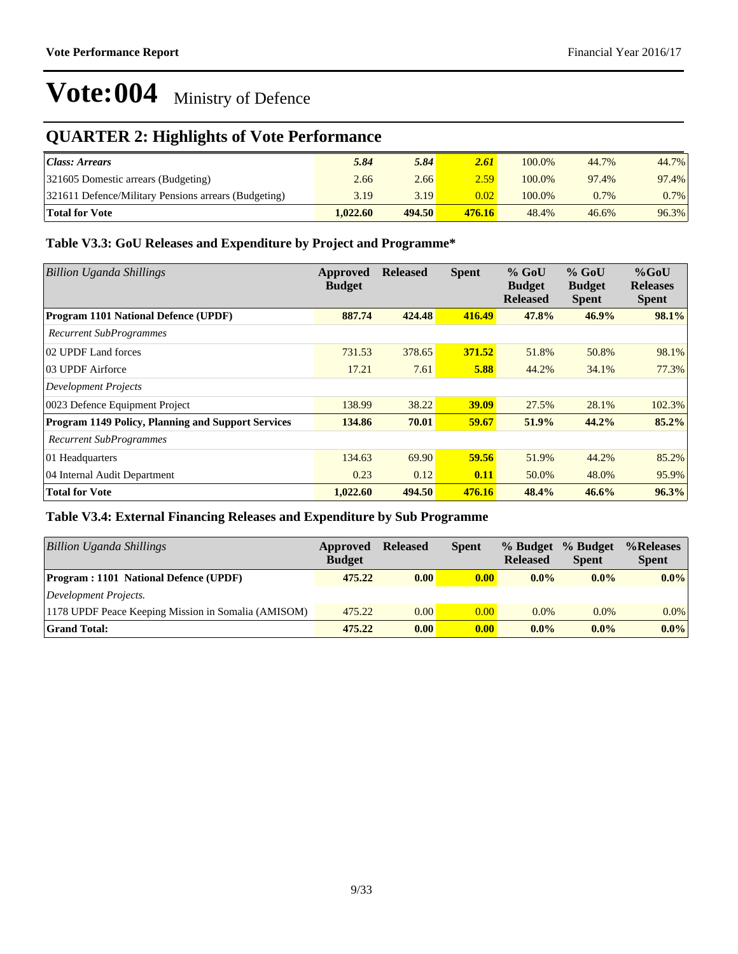### **QUARTER 2: Highlights of Vote Performance**

| Class: Arears                                        | 5.84     | 5.84   | 2.61              | 100.0% | 44.7%   | 44.7%   |
|------------------------------------------------------|----------|--------|-------------------|--------|---------|---------|
| 321605 Domestic arrears (Budgeting)                  | 2.66     | 2.66   | 2.59              | 100.0% | 97.4%   | 97.4%   |
| 321611 Defence/Military Pensions arrears (Budgeting) | 3.19     | 3.19   | 0.02 <sub>1</sub> | 100.0% | $0.7\%$ | $0.7\%$ |
| <b>Total for Vote</b>                                | 1.022.60 | 494.50 | 476.16            | 48.4%  | 46.6%   | 96.3%   |

#### **Table V3.3: GoU Releases and Expenditure by Project and Programme\***

| <b>Billion Uganda Shillings</b>                           | Approved<br><b>Budget</b> | <b>Released</b> | <b>Spent</b> | $%$ GoU<br><b>Budget</b><br><b>Released</b> | $%$ GoU<br><b>Budget</b><br><b>Spent</b> | $%$ GoU<br><b>Releases</b><br><b>Spent</b> |
|-----------------------------------------------------------|---------------------------|-----------------|--------------|---------------------------------------------|------------------------------------------|--------------------------------------------|
| <b>Program 1101 National Defence (UPDF)</b>               | 887.74                    | 424.48          | 416.49       | 47.8%                                       | 46.9%                                    | 98.1%                                      |
| <b>Recurrent SubProgrammes</b>                            |                           |                 |              |                                             |                                          |                                            |
| 02 UPDF Land forces                                       | 731.53                    | 378.65          | 371.52       | 51.8%                                       | 50.8%                                    | 98.1%                                      |
| 03 UPDF Airforce                                          | 17.21                     | 7.61            | 5.88         | 44.2%                                       | 34.1%                                    | 77.3%                                      |
| <b>Development Projects</b>                               |                           |                 |              |                                             |                                          |                                            |
| 0023 Defence Equipment Project                            | 138.99                    | 38.22           | <b>39.09</b> | 27.5%                                       | 28.1%                                    | 102.3%                                     |
| <b>Program 1149 Policy, Planning and Support Services</b> | 134.86                    | 70.01           | 59.67        | 51.9%                                       | 44.2%                                    | 85.2%                                      |
| <b>Recurrent SubProgrammes</b>                            |                           |                 |              |                                             |                                          |                                            |
| 01 Headquarters                                           | 134.63                    | 69.90           | 59.56        | 51.9%                                       | 44.2%                                    | 85.2%                                      |
| 04 Internal Audit Department                              | 0.23                      | 0.12            | 0.11         | 50.0%                                       | 48.0%                                    | 95.9%                                      |
| <b>Total for Vote</b>                                     | 1.022.60                  | 494.50          | 476.16       | 48.4%                                       | 46.6%                                    | 96.3%                                      |

#### **Table V3.4: External Financing Releases and Expenditure by Sub Programme**

| <b>Billion Uganda Shillings</b>                     | Approved<br><b>Budget</b> | <b>Released</b> | <b>Spent</b>       | % Budget<br><b>Released</b> | % Budget<br><b>Spent</b> | %Releases<br><b>Spent</b> |
|-----------------------------------------------------|---------------------------|-----------------|--------------------|-----------------------------|--------------------------|---------------------------|
| <b>Program: 1101 National Defence (UPDF)</b>        | 475.22                    | 0.00            | 0.00 <sub>l</sub>  | $0.0\%$                     | $0.0\%$                  | $0.0\%$                   |
| Development Projects.                               |                           |                 |                    |                             |                          |                           |
| 1178 UPDF Peace Keeping Mission in Somalia (AMISOM) | 475.22                    | 0.00            | 0.00               | $0.0\%$                     | $0.0\%$                  | $0.0\%$                   |
| <b>Grand Total:</b>                                 | 475.22                    | 0.00            | $\vert 0.00 \vert$ | $0.0\%$                     | $0.0\%$                  | $0.0\%$                   |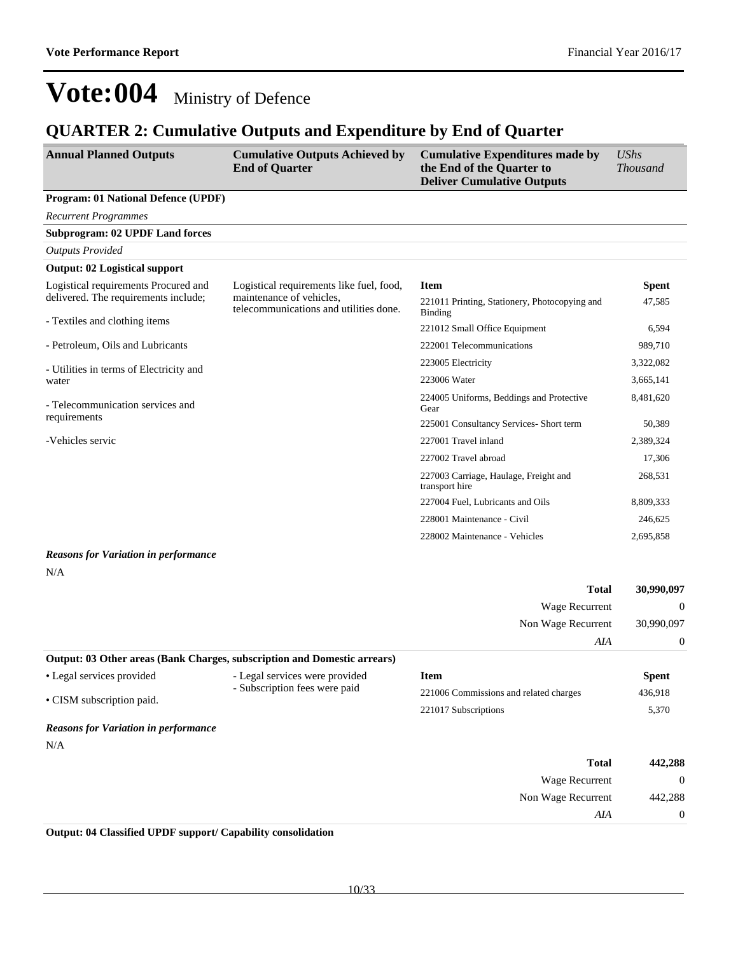#### **QUARTER 2: Cumulative Outputs and Expenditure by End of Quarter**

| <b>Annual Planned Outputs</b>                                            | <b>Cumulative Outputs Achieved by</b><br><b>End of Quarter</b>     | <b>Cumulative Expenditures made by</b><br>the End of the Quarter to<br><b>Deliver Cumulative Outputs</b> | <b>UShs</b><br><b>Thousand</b> |
|--------------------------------------------------------------------------|--------------------------------------------------------------------|----------------------------------------------------------------------------------------------------------|--------------------------------|
| Program: 01 National Defence (UPDF)                                      |                                                                    |                                                                                                          |                                |
| <b>Recurrent Programmes</b>                                              |                                                                    |                                                                                                          |                                |
| <b>Subprogram: 02 UPDF Land forces</b>                                   |                                                                    |                                                                                                          |                                |
| <b>Outputs Provided</b>                                                  |                                                                    |                                                                                                          |                                |
| <b>Output: 02 Logistical support</b>                                     |                                                                    |                                                                                                          |                                |
| Logistical requirements Procured and                                     | Logistical requirements like fuel, food,                           | <b>Item</b>                                                                                              | <b>Spent</b>                   |
| delivered. The requirements include;                                     | maintenance of vehicles,<br>telecommunications and utilities done. | 221011 Printing, Stationery, Photocopying and<br><b>Binding</b>                                          | 47,585                         |
| - Textiles and clothing items                                            |                                                                    | 221012 Small Office Equipment                                                                            | 6,594                          |
| - Petroleum, Oils and Lubricants                                         |                                                                    | 222001 Telecommunications                                                                                | 989,710                        |
| - Utilities in terms of Electricity and                                  |                                                                    | 223005 Electricity                                                                                       | 3,322,082                      |
| water                                                                    |                                                                    | 223006 Water                                                                                             | 3,665,141                      |
| - Telecommunication services and                                         |                                                                    | 224005 Uniforms, Beddings and Protective<br>Gear                                                         | 8,481,620                      |
| requirements                                                             |                                                                    | 225001 Consultancy Services- Short term                                                                  | 50,389                         |
| -Vehicles servic                                                         |                                                                    | 227001 Travel inland                                                                                     | 2,389,324                      |
|                                                                          |                                                                    | 227002 Travel abroad                                                                                     | 17,306                         |
|                                                                          |                                                                    | 227003 Carriage, Haulage, Freight and<br>transport hire                                                  | 268,531                        |
|                                                                          |                                                                    | 227004 Fuel, Lubricants and Oils                                                                         | 8,809,333                      |
|                                                                          |                                                                    | 228001 Maintenance - Civil                                                                               | 246,625                        |
|                                                                          |                                                                    | 228002 Maintenance - Vehicles                                                                            | 2,695,858                      |
| <b>Reasons for Variation in performance</b><br>N/A                       |                                                                    |                                                                                                          |                                |
|                                                                          |                                                                    | <b>Total</b>                                                                                             | 30,990,097                     |
|                                                                          |                                                                    | Wage Recurrent                                                                                           | $\Omega$                       |
|                                                                          |                                                                    | Non Wage Recurrent                                                                                       | 30,990,097                     |
|                                                                          |                                                                    | AIA                                                                                                      | $\boldsymbol{0}$               |
| Output: 03 Other areas (Bank Charges, subscription and Domestic arrears) |                                                                    |                                                                                                          |                                |
| • Legal services provided                                                | - Legal services were provided                                     | <b>Item</b>                                                                                              | <b>Spent</b>                   |
| • CISM subscription paid.                                                | - Subscription fees were paid                                      | 221006 Commissions and related charges                                                                   | 436,918                        |
|                                                                          |                                                                    | 221017 Subscriptions                                                                                     | 5,370                          |
| <b>Reasons for Variation in performance</b>                              |                                                                    |                                                                                                          |                                |
| N/A                                                                      |                                                                    |                                                                                                          |                                |
|                                                                          |                                                                    | <b>Total</b>                                                                                             | 442,288                        |
|                                                                          |                                                                    | Wage Recurrent                                                                                           | $\boldsymbol{0}$               |
|                                                                          |                                                                    | Non Wage Recurrent                                                                                       | 442,288                        |
|                                                                          |                                                                    | $A I\!A$                                                                                                 | $\boldsymbol{0}$               |

**Output: 04 Classified UPDF support/ Capability consolidation**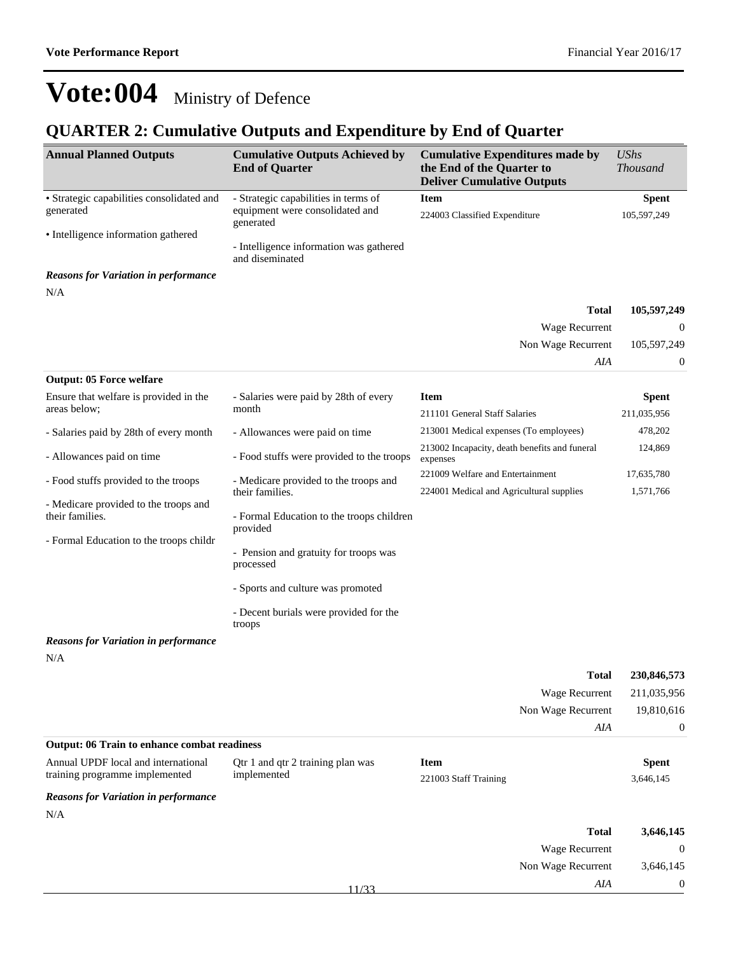*AIA* 0

## **Vote:004** Ministry of Defence

### **QUARTER 2: Cumulative Outputs and Expenditure by End of Quarter**

| <b>Annual Planned Outputs</b>                                         | <b>Cumulative Outputs Achieved by</b><br><b>End of Quarter</b> | <b>Cumulative Expenditures made by</b><br>the End of the Quarter to<br><b>Deliver Cumulative Outputs</b> | <b>UShs</b><br><b>Thousand</b> |
|-----------------------------------------------------------------------|----------------------------------------------------------------|----------------------------------------------------------------------------------------------------------|--------------------------------|
| · Strategic capabilities consolidated and                             | - Strategic capabilities in terms of                           | <b>Item</b>                                                                                              | <b>Spent</b>                   |
| generated                                                             | equipment were consolidated and<br>generated                   | 224003 Classified Expenditure                                                                            | 105,597,249                    |
| • Intelligence information gathered                                   | - Intelligence information was gathered                        |                                                                                                          |                                |
| <b>Reasons for Variation in performance</b>                           | and diseminated                                                |                                                                                                          |                                |
| N/A                                                                   |                                                                |                                                                                                          |                                |
|                                                                       |                                                                | <b>Total</b>                                                                                             | 105,597,249                    |
|                                                                       |                                                                | Wage Recurrent                                                                                           | $\boldsymbol{0}$               |
|                                                                       |                                                                | Non Wage Recurrent                                                                                       | 105,597,249                    |
|                                                                       |                                                                | AIA                                                                                                      | $\boldsymbol{0}$               |
| <b>Output: 05 Force welfare</b>                                       |                                                                |                                                                                                          |                                |
| Ensure that welfare is provided in the                                | - Salaries were paid by 28th of every                          | <b>Item</b>                                                                                              | <b>Spent</b>                   |
| areas below;                                                          | month                                                          | 211101 General Staff Salaries                                                                            | 211,035,956                    |
| - Salaries paid by 28th of every month                                | - Allowances were paid on time                                 | 213001 Medical expenses (To employees)                                                                   | 478,202                        |
| - Allowances paid on time                                             | - Food stuffs were provided to the troops                      | 213002 Incapacity, death benefits and funeral<br>expenses                                                | 124,869                        |
| - Food stuffs provided to the troops                                  | - Medicare provided to the troops and                          | 221009 Welfare and Entertainment                                                                         | 17,635,780                     |
|                                                                       | their families.                                                | 224001 Medical and Agricultural supplies                                                                 | 1,571,766                      |
| - Medicare provided to the troops and<br>their families.              | - Formal Education to the troops children<br>provided          |                                                                                                          |                                |
| - Formal Education to the troops childr                               |                                                                |                                                                                                          |                                |
|                                                                       | - Pension and gratuity for troops was<br>processed             |                                                                                                          |                                |
|                                                                       | - Sports and culture was promoted                              |                                                                                                          |                                |
|                                                                       | - Decent burials were provided for the<br>troops               |                                                                                                          |                                |
| <b>Reasons for Variation in performance</b>                           |                                                                |                                                                                                          |                                |
| N/A                                                                   |                                                                |                                                                                                          |                                |
|                                                                       |                                                                | <b>Total</b>                                                                                             | 230,846,573                    |
|                                                                       |                                                                | Wage Recurrent                                                                                           | 211,035,956                    |
|                                                                       |                                                                | Non Wage Recurrent                                                                                       | 19,810,616                     |
|                                                                       |                                                                | AIA                                                                                                      | $\boldsymbol{0}$               |
| <b>Output: 06 Train to enhance combat readiness</b>                   |                                                                |                                                                                                          |                                |
| Annual UPDF local and international<br>training programme implemented | Qtr 1 and qtr 2 training plan was<br>implemented               | <b>Item</b><br>221003 Staff Training                                                                     | <b>Spent</b><br>3,646,145      |
| <b>Reasons for Variation in performance</b>                           |                                                                |                                                                                                          |                                |
| N/A                                                                   |                                                                |                                                                                                          |                                |
|                                                                       |                                                                | <b>Total</b>                                                                                             | 3,646,145                      |
|                                                                       |                                                                | Wage Recurrent                                                                                           | $\mathbf{0}$                   |
|                                                                       |                                                                | Non Wage Recurrent                                                                                       | 3,646,145                      |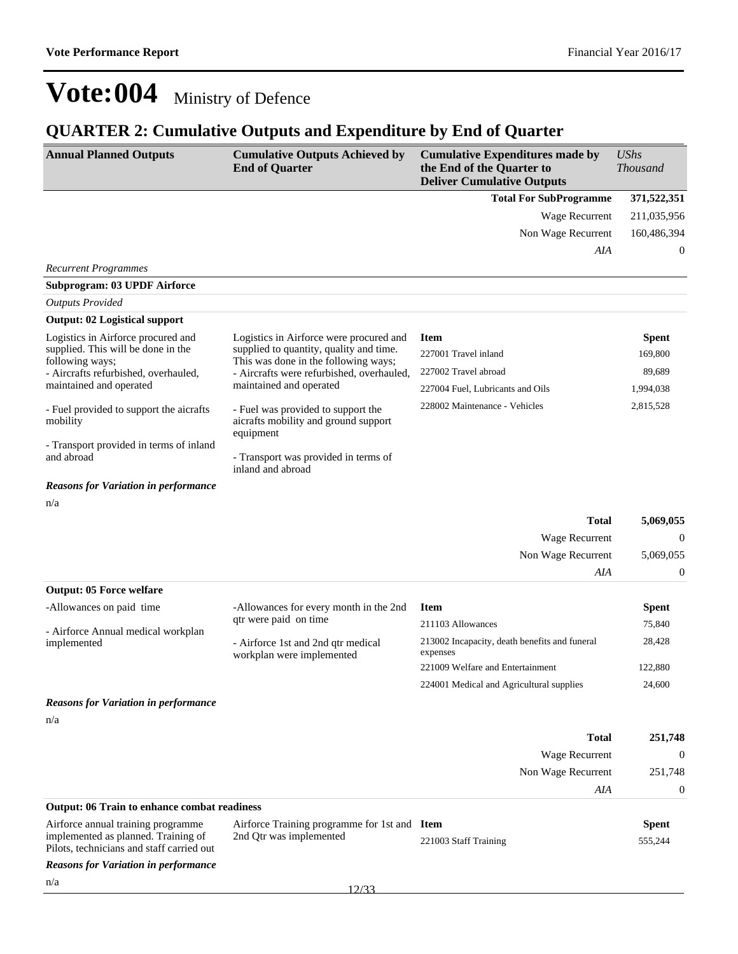### **QUARTER 2: Cumulative Outputs and Expenditure by End of Quarter**

| <b>Annual Planned Outputs</b>                                                                                                                                                                                                                                                                                                 | <b>Cumulative Outputs Achieved by</b><br><b>End of Quarter</b>                                                                                                                                                                                                                                                                                             | <b>Cumulative Expenditures made by</b><br>the End of the Quarter to<br><b>Deliver Cumulative Outputs</b>                         | <b>UShs</b><br><b>Thousand</b>                              |
|-------------------------------------------------------------------------------------------------------------------------------------------------------------------------------------------------------------------------------------------------------------------------------------------------------------------------------|------------------------------------------------------------------------------------------------------------------------------------------------------------------------------------------------------------------------------------------------------------------------------------------------------------------------------------------------------------|----------------------------------------------------------------------------------------------------------------------------------|-------------------------------------------------------------|
|                                                                                                                                                                                                                                                                                                                               |                                                                                                                                                                                                                                                                                                                                                            | <b>Total For SubProgramme</b>                                                                                                    | 371,522,351                                                 |
|                                                                                                                                                                                                                                                                                                                               |                                                                                                                                                                                                                                                                                                                                                            | Wage Recurrent                                                                                                                   | 211,035,956                                                 |
|                                                                                                                                                                                                                                                                                                                               |                                                                                                                                                                                                                                                                                                                                                            | Non Wage Recurrent                                                                                                               | 160,486,394                                                 |
|                                                                                                                                                                                                                                                                                                                               |                                                                                                                                                                                                                                                                                                                                                            | AIA                                                                                                                              | 0                                                           |
| <b>Recurrent Programmes</b>                                                                                                                                                                                                                                                                                                   |                                                                                                                                                                                                                                                                                                                                                            |                                                                                                                                  |                                                             |
| <b>Subprogram: 03 UPDF Airforce</b>                                                                                                                                                                                                                                                                                           |                                                                                                                                                                                                                                                                                                                                                            |                                                                                                                                  |                                                             |
| <b>Outputs Provided</b>                                                                                                                                                                                                                                                                                                       |                                                                                                                                                                                                                                                                                                                                                            |                                                                                                                                  |                                                             |
| <b>Output: 02 Logistical support</b>                                                                                                                                                                                                                                                                                          |                                                                                                                                                                                                                                                                                                                                                            |                                                                                                                                  |                                                             |
| Logistics in Airforce procured and<br>supplied. This will be done in the<br>following ways;<br>- Aircrafts refurbished, overhauled,<br>maintained and operated<br>- Fuel provided to support the aicrafts<br>mobility<br>- Transport provided in terms of inland<br>and abroad<br><b>Reasons for Variation in performance</b> | Logistics in Airforce were procured and<br>supplied to quantity, quality and time.<br>This was done in the following ways;<br>- Aircrafts were refurbished, overhauled,<br>maintained and operated<br>- Fuel was provided to support the<br>aicrafts mobility and ground support<br>equipment<br>- Transport was provided in terms of<br>inland and abroad | <b>Item</b><br>227001 Travel inland<br>227002 Travel abroad<br>227004 Fuel, Lubricants and Oils<br>228002 Maintenance - Vehicles | <b>Spent</b><br>169,800<br>89,689<br>1,994,038<br>2,815,528 |
| n/a                                                                                                                                                                                                                                                                                                                           |                                                                                                                                                                                                                                                                                                                                                            |                                                                                                                                  |                                                             |
|                                                                                                                                                                                                                                                                                                                               |                                                                                                                                                                                                                                                                                                                                                            | <b>Total</b>                                                                                                                     | 5,069,055                                                   |
|                                                                                                                                                                                                                                                                                                                               |                                                                                                                                                                                                                                                                                                                                                            | Wage Recurrent                                                                                                                   | 0                                                           |
|                                                                                                                                                                                                                                                                                                                               |                                                                                                                                                                                                                                                                                                                                                            | Non Wage Recurrent                                                                                                               | 5,069,055                                                   |
|                                                                                                                                                                                                                                                                                                                               |                                                                                                                                                                                                                                                                                                                                                            | AIA                                                                                                                              | 0                                                           |
| <b>Output: 05 Force welfare</b>                                                                                                                                                                                                                                                                                               |                                                                                                                                                                                                                                                                                                                                                            |                                                                                                                                  |                                                             |
| -Allowances on paid time                                                                                                                                                                                                                                                                                                      | -Allowances for every month in the 2nd<br>qtr were paid on time                                                                                                                                                                                                                                                                                            | <b>Item</b>                                                                                                                      | <b>Spent</b>                                                |
| - Airforce Annual medical workplan                                                                                                                                                                                                                                                                                            |                                                                                                                                                                                                                                                                                                                                                            | 211103 Allowances                                                                                                                | 75,840                                                      |
| implemented                                                                                                                                                                                                                                                                                                                   | - Airforce 1st and 2nd qtr medical<br>workplan were implemented                                                                                                                                                                                                                                                                                            | 213002 Incapacity, death benefits and funeral<br>expenses                                                                        | 28,428                                                      |
|                                                                                                                                                                                                                                                                                                                               |                                                                                                                                                                                                                                                                                                                                                            | 221009 Welfare and Entertainment                                                                                                 | 122,880                                                     |
|                                                                                                                                                                                                                                                                                                                               |                                                                                                                                                                                                                                                                                                                                                            | 224001 Medical and Agricultural supplies                                                                                         | 24,600                                                      |
| <b>Reasons for Variation in performance</b>                                                                                                                                                                                                                                                                                   |                                                                                                                                                                                                                                                                                                                                                            |                                                                                                                                  |                                                             |
| n/a                                                                                                                                                                                                                                                                                                                           |                                                                                                                                                                                                                                                                                                                                                            |                                                                                                                                  |                                                             |
|                                                                                                                                                                                                                                                                                                                               |                                                                                                                                                                                                                                                                                                                                                            | <b>Total</b>                                                                                                                     | 251,748                                                     |
|                                                                                                                                                                                                                                                                                                                               |                                                                                                                                                                                                                                                                                                                                                            | Wage Recurrent                                                                                                                   | $\mathbf{0}$                                                |
|                                                                                                                                                                                                                                                                                                                               |                                                                                                                                                                                                                                                                                                                                                            | Non Wage Recurrent                                                                                                               | 251,748                                                     |
|                                                                                                                                                                                                                                                                                                                               |                                                                                                                                                                                                                                                                                                                                                            | AIA                                                                                                                              | 0                                                           |
| <b>Output: 06 Train to enhance combat readiness</b>                                                                                                                                                                                                                                                                           |                                                                                                                                                                                                                                                                                                                                                            |                                                                                                                                  |                                                             |
| Airforce annual training programme<br>implemented as planned. Training of                                                                                                                                                                                                                                                     | Airforce Training programme for 1st and Item<br>2nd Qtr was implemented                                                                                                                                                                                                                                                                                    |                                                                                                                                  | <b>Spent</b>                                                |
| Pilots, technicians and staff carried out                                                                                                                                                                                                                                                                                     |                                                                                                                                                                                                                                                                                                                                                            | 221003 Staff Training                                                                                                            | 555,244                                                     |

*Reasons for Variation in performance*

n/a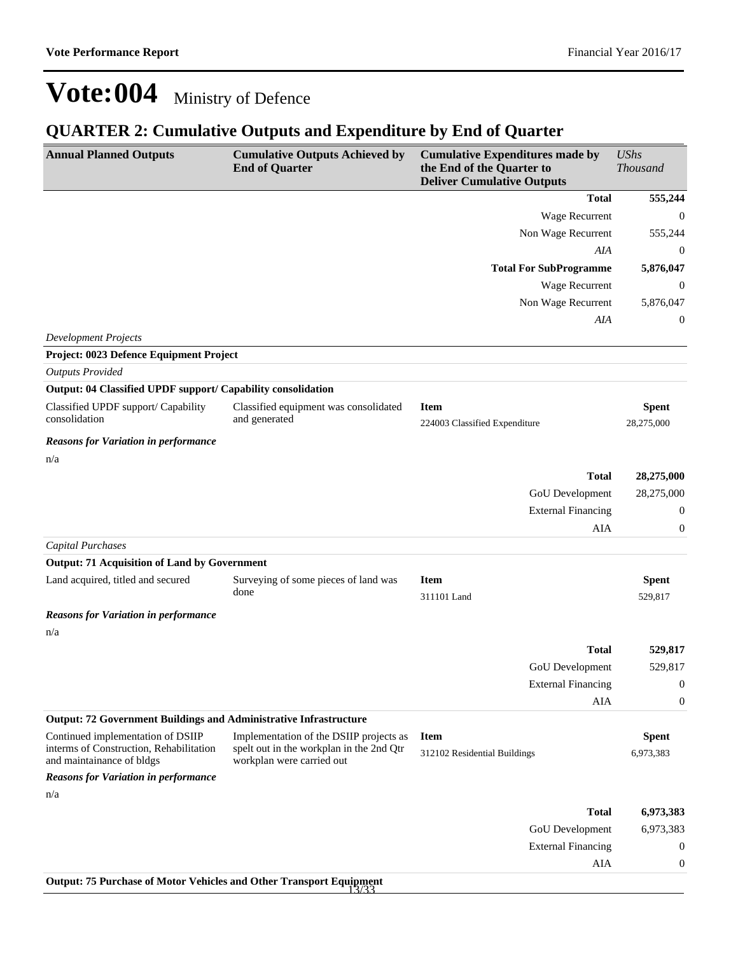### **QUARTER 2: Cumulative Outputs and Expenditure by End of Quarter**

| <b>Annual Planned Outputs</b>                                                                             | <b>Cumulative Outputs Achieved by</b><br><b>End of Quarter</b>                                                   | <b>Cumulative Expenditures made by</b><br>the End of the Quarter to<br><b>Deliver Cumulative Outputs</b> | <b>UShs</b><br><b>Thousand</b> |
|-----------------------------------------------------------------------------------------------------------|------------------------------------------------------------------------------------------------------------------|----------------------------------------------------------------------------------------------------------|--------------------------------|
|                                                                                                           |                                                                                                                  | <b>Total</b>                                                                                             | 555,244                        |
|                                                                                                           |                                                                                                                  | Wage Recurrent                                                                                           | 0                              |
|                                                                                                           |                                                                                                                  | Non Wage Recurrent                                                                                       | 555,244                        |
|                                                                                                           |                                                                                                                  | AIA                                                                                                      | 0                              |
|                                                                                                           |                                                                                                                  | <b>Total For SubProgramme</b>                                                                            | 5,876,047                      |
|                                                                                                           |                                                                                                                  | Wage Recurrent                                                                                           | $\boldsymbol{0}$               |
|                                                                                                           |                                                                                                                  | Non Wage Recurrent                                                                                       | 5,876,047                      |
|                                                                                                           |                                                                                                                  | AIA                                                                                                      | 0                              |
| <b>Development Projects</b>                                                                               |                                                                                                                  |                                                                                                          |                                |
| Project: 0023 Defence Equipment Project                                                                   |                                                                                                                  |                                                                                                          |                                |
| <b>Outputs Provided</b>                                                                                   |                                                                                                                  |                                                                                                          |                                |
| Output: 04 Classified UPDF support/ Capability consolidation                                              |                                                                                                                  |                                                                                                          |                                |
| Classified UPDF support/ Capability<br>consolidation                                                      | Classified equipment was consolidated<br>and generated                                                           | <b>Item</b><br>224003 Classified Expenditure                                                             | <b>Spent</b><br>28,275,000     |
| <b>Reasons for Variation in performance</b>                                                               |                                                                                                                  |                                                                                                          |                                |
| n/a                                                                                                       |                                                                                                                  |                                                                                                          |                                |
|                                                                                                           |                                                                                                                  | <b>Total</b>                                                                                             | 28,275,000                     |
|                                                                                                           |                                                                                                                  | GoU Development                                                                                          | 28,275,000                     |
|                                                                                                           |                                                                                                                  | <b>External Financing</b>                                                                                | 0                              |
|                                                                                                           |                                                                                                                  | AIA                                                                                                      | $\boldsymbol{0}$               |
| <b>Capital Purchases</b>                                                                                  |                                                                                                                  |                                                                                                          |                                |
| <b>Output: 71 Acquisition of Land by Government</b>                                                       |                                                                                                                  |                                                                                                          |                                |
| Land acquired, titled and secured                                                                         | Surveying of some pieces of land was<br>done                                                                     | <b>Item</b><br>311101 Land                                                                               | <b>Spent</b><br>529,817        |
| <b>Reasons for Variation in performance</b>                                                               |                                                                                                                  |                                                                                                          |                                |
| n/a                                                                                                       |                                                                                                                  |                                                                                                          |                                |
|                                                                                                           |                                                                                                                  | <b>Total</b>                                                                                             | 529,817                        |
|                                                                                                           |                                                                                                                  | GoU Development                                                                                          | 529,817                        |
|                                                                                                           |                                                                                                                  | <b>External Financing</b>                                                                                | 0                              |
|                                                                                                           |                                                                                                                  | AIA                                                                                                      | $\boldsymbol{0}$               |
| <b>Output: 72 Government Buildings and Administrative Infrastructure</b>                                  |                                                                                                                  |                                                                                                          |                                |
| Continued implementation of DSIIP<br>interms of Construction, Rehabilitation<br>and maintainance of bldgs | Implementation of the DSIIP projects as<br>spelt out in the workplan in the 2nd Qtr<br>workplan were carried out | <b>Item</b><br>312102 Residential Buildings                                                              | <b>Spent</b><br>6,973,383      |
| <b>Reasons for Variation in performance</b>                                                               |                                                                                                                  |                                                                                                          |                                |
| n/a                                                                                                       |                                                                                                                  |                                                                                                          |                                |
|                                                                                                           |                                                                                                                  | <b>Total</b>                                                                                             | 6,973,383                      |
|                                                                                                           |                                                                                                                  | GoU Development                                                                                          | 6,973,383                      |
|                                                                                                           |                                                                                                                  | <b>External Financing</b>                                                                                | $\boldsymbol{0}$               |
|                                                                                                           |                                                                                                                  | AIA                                                                                                      | $\boldsymbol{0}$               |
| <b>Output: 75 Purchase of Motor Vehicles and Other Transport Equipment</b>                                |                                                                                                                  |                                                                                                          |                                |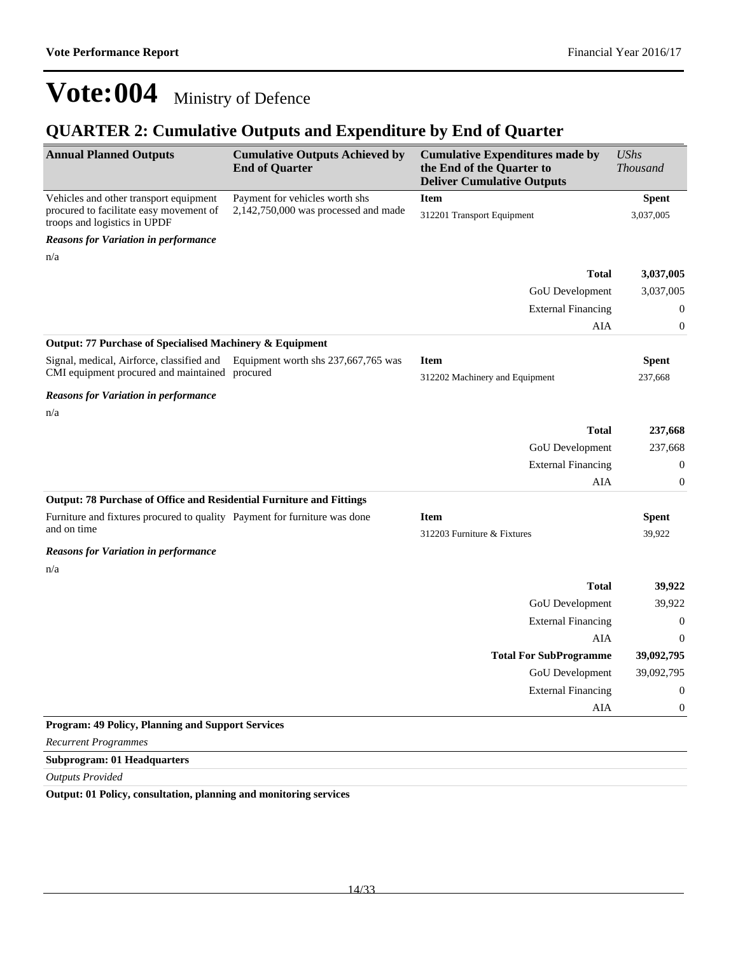### **QUARTER 2: Cumulative Outputs and Expenditure by End of Quarter**

| <b>Annual Planned Outputs</b>                                                            | <b>Cumulative Outputs Achieved by</b><br><b>End of Quarter</b> | <b>Cumulative Expenditures made by</b><br>the End of the Quarter to<br><b>Deliver Cumulative Outputs</b> | <b>UShs</b><br><b>Thousand</b> |
|------------------------------------------------------------------------------------------|----------------------------------------------------------------|----------------------------------------------------------------------------------------------------------|--------------------------------|
| Vehicles and other transport equipment                                                   | Payment for vehicles worth shs                                 | <b>Item</b>                                                                                              | <b>Spent</b>                   |
| procured to facilitate easy movement of<br>troops and logistics in UPDF                  | $2,142,750,000$ was processed and made                         | 312201 Transport Equipment                                                                               | 3,037,005                      |
| <b>Reasons for Variation in performance</b>                                              |                                                                |                                                                                                          |                                |
| n/a                                                                                      |                                                                |                                                                                                          |                                |
|                                                                                          |                                                                | <b>Total</b>                                                                                             | 3,037,005                      |
|                                                                                          |                                                                | GoU Development                                                                                          | 3,037,005                      |
|                                                                                          |                                                                | <b>External Financing</b>                                                                                | $\mathbf{0}$                   |
|                                                                                          |                                                                | AIA                                                                                                      | $\overline{0}$                 |
| Output: 77 Purchase of Specialised Machinery & Equipment                                 |                                                                |                                                                                                          |                                |
| Signal, medical, Airforce, classified and                                                | Equipment worth shs 237,667,765 was                            | <b>Item</b>                                                                                              | <b>Spent</b>                   |
| CMI equipment procured and maintained procured                                           |                                                                | 312202 Machinery and Equipment                                                                           | 237,668                        |
| <b>Reasons for Variation in performance</b>                                              |                                                                |                                                                                                          |                                |
| n/a                                                                                      |                                                                |                                                                                                          |                                |
|                                                                                          |                                                                | <b>Total</b>                                                                                             | 237,668                        |
|                                                                                          |                                                                | GoU Development                                                                                          | 237,668                        |
|                                                                                          |                                                                | <b>External Financing</b>                                                                                | $\boldsymbol{0}$               |
|                                                                                          |                                                                | AIA                                                                                                      | $\boldsymbol{0}$               |
| Output: 78 Purchase of Office and Residential Furniture and Fittings                     |                                                                |                                                                                                          |                                |
| Furniture and fixtures procured to quality Payment for furniture was done<br>and on time |                                                                | <b>Item</b>                                                                                              | <b>Spent</b>                   |
|                                                                                          |                                                                | 312203 Furniture & Fixtures                                                                              | 39,922                         |
| <b>Reasons for Variation in performance</b>                                              |                                                                |                                                                                                          |                                |
| n/a                                                                                      |                                                                | <b>Total</b>                                                                                             | 39,922                         |
|                                                                                          |                                                                | GoU Development                                                                                          | 39,922                         |
|                                                                                          |                                                                | <b>External Financing</b>                                                                                | $\mathbf{0}$                   |
|                                                                                          |                                                                | <b>AIA</b>                                                                                               | $\Omega$                       |
|                                                                                          |                                                                | <b>Total For SubProgramme</b>                                                                            | 39,092,795                     |
|                                                                                          |                                                                | GoU Development                                                                                          | 39,092,795                     |
|                                                                                          |                                                                | <b>External Financing</b>                                                                                | $\boldsymbol{0}$               |
|                                                                                          |                                                                | AIA                                                                                                      | $\boldsymbol{0}$               |
| <b>Program: 49 Policy, Planning and Support Services</b>                                 |                                                                |                                                                                                          |                                |
| <b>Recurrent Programmes</b>                                                              |                                                                |                                                                                                          |                                |
| <b>Subprogram: 01 Headquarters</b>                                                       |                                                                |                                                                                                          |                                |

*Outputs Provided*

**Output: 01 Policy, consultation, planning and monitoring services**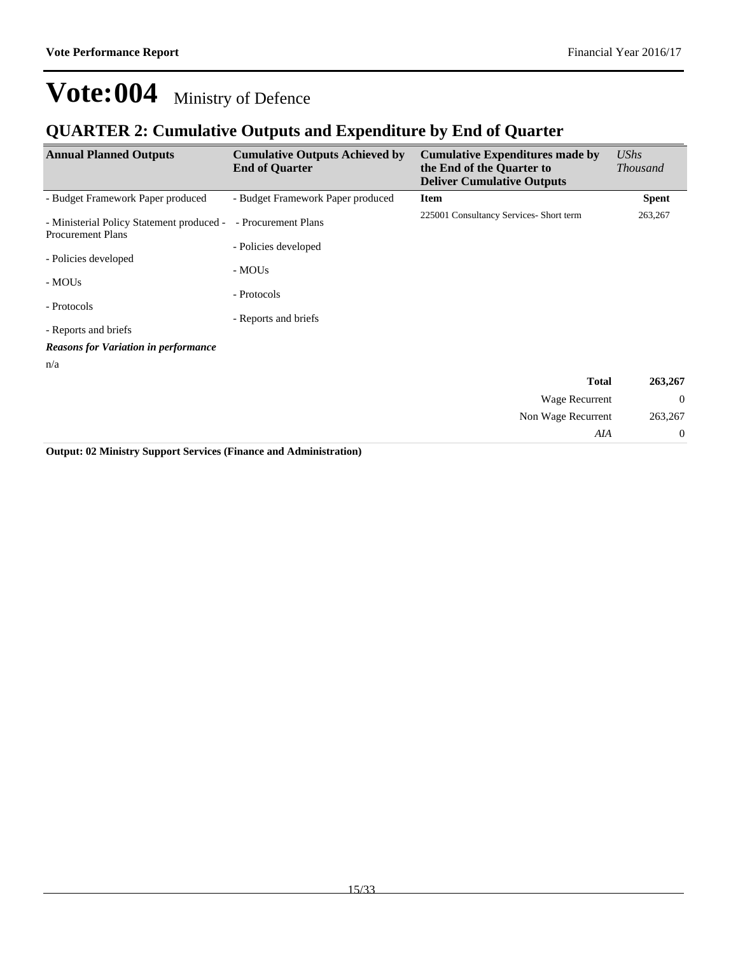### **QUARTER 2: Cumulative Outputs and Expenditure by End of Quarter**

| <b>Annual Planned Outputs</b>                                         | <b>Cumulative Outputs Achieved by</b><br><b>End of Quarter</b> | <b>Cumulative Expenditures made by</b><br>the End of the Quarter to<br><b>Deliver Cumulative Outputs</b> | UShs<br><b>Thousand</b> |
|-----------------------------------------------------------------------|----------------------------------------------------------------|----------------------------------------------------------------------------------------------------------|-------------------------|
| - Budget Framework Paper produced                                     | - Budget Framework Paper produced                              | <b>Item</b>                                                                                              | <b>Spent</b>            |
| - Ministerial Policy Statement produced -<br><b>Procurement Plans</b> | - Procurement Plans                                            | 225001 Consultancy Services- Short term                                                                  | 263,267                 |
|                                                                       | - Policies developed                                           |                                                                                                          |                         |
| - Policies developed                                                  | - MOUs                                                         |                                                                                                          |                         |
| - MOUs                                                                |                                                                |                                                                                                          |                         |
| - Protocols                                                           | - Protocols                                                    |                                                                                                          |                         |
|                                                                       | - Reports and briefs                                           |                                                                                                          |                         |
| - Reports and briefs                                                  |                                                                |                                                                                                          |                         |
| <b>Reasons for Variation in performance</b>                           |                                                                |                                                                                                          |                         |
| n/a                                                                   |                                                                |                                                                                                          |                         |
|                                                                       |                                                                | <b>Total</b>                                                                                             | 263,267                 |
|                                                                       |                                                                | Wage Recurrent                                                                                           | $\theta$                |
|                                                                       |                                                                | Non Wage Recurrent                                                                                       | 263,267                 |
|                                                                       |                                                                | AIA                                                                                                      | $\boldsymbol{0}$        |

**Output: 02 Ministry Support Services (Finance and Administration)**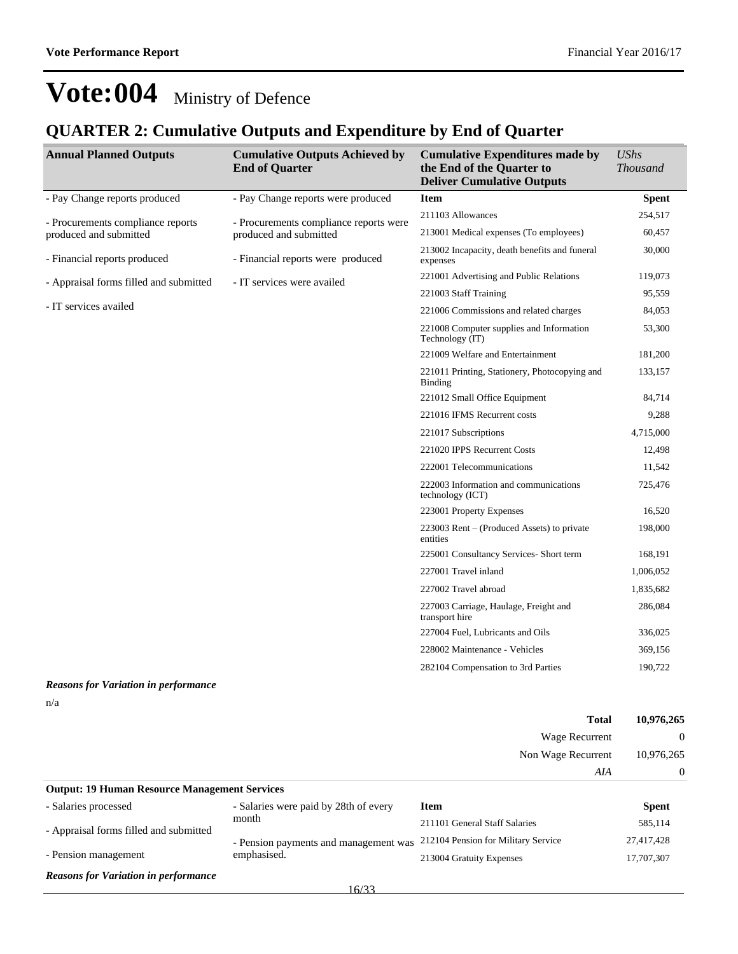#### **QUARTER 2: Cumulative Outputs and Expenditure by End of Quarter**

| <b>Annual Planned Outputs</b>          | <b>Cumulative Outputs Achieved by</b><br><b>End of Quarter</b> | <b>Cumulative Expenditures made by</b><br>the End of the Quarter to<br><b>Deliver Cumulative Outputs</b> | <b>UShs</b><br><b>Thousand</b> |
|----------------------------------------|----------------------------------------------------------------|----------------------------------------------------------------------------------------------------------|--------------------------------|
| - Pay Change reports produced          | - Pay Change reports were produced                             | <b>Item</b>                                                                                              | <b>Spent</b>                   |
| - Procurements compliance reports      | - Procurements compliance reports were                         | 211103 Allowances                                                                                        | 254,517                        |
| produced and submitted                 | produced and submitted                                         | 213001 Medical expenses (To employees)                                                                   | 60,457                         |
| - Financial reports produced           | - Financial reports were produced                              | 213002 Incapacity, death benefits and funeral<br>expenses                                                | 30,000                         |
| - Appraisal forms filled and submitted | - IT services were availed                                     | 221001 Advertising and Public Relations                                                                  | 119,073                        |
|                                        |                                                                | 221003 Staff Training                                                                                    | 95,559                         |
| - IT services availed                  |                                                                | 221006 Commissions and related charges                                                                   | 84,053                         |
|                                        |                                                                | 221008 Computer supplies and Information<br>Technology (IT)                                              | 53,300                         |
|                                        |                                                                | 221009 Welfare and Entertainment                                                                         | 181,200                        |
|                                        |                                                                | 221011 Printing, Stationery, Photocopying and<br><b>Binding</b>                                          | 133,157                        |
|                                        |                                                                | 221012 Small Office Equipment                                                                            | 84,714                         |
|                                        |                                                                | 221016 IFMS Recurrent costs                                                                              | 9,288                          |
|                                        |                                                                | 221017 Subscriptions                                                                                     | 4,715,000                      |
|                                        |                                                                | 221020 IPPS Recurrent Costs                                                                              | 12,498                         |
|                                        |                                                                | 222001 Telecommunications                                                                                | 11,542                         |
|                                        |                                                                | 222003 Information and communications<br>technology (ICT)                                                | 725,476                        |
|                                        |                                                                | 223001 Property Expenses                                                                                 | 16,520                         |
|                                        |                                                                | 223003 Rent $-$ (Produced Assets) to private<br>entities                                                 | 198,000                        |
|                                        |                                                                | 225001 Consultancy Services- Short term                                                                  | 168,191                        |
|                                        |                                                                | 227001 Travel inland                                                                                     | 1,006,052                      |
|                                        |                                                                | 227002 Travel abroad                                                                                     | 1,835,682                      |
|                                        |                                                                | 227003 Carriage, Haulage, Freight and<br>transport hire                                                  | 286,084                        |
|                                        |                                                                | 227004 Fuel, Lubricants and Oils                                                                         | 336,025                        |
|                                        |                                                                | 228002 Maintenance - Vehicles                                                                            | 369,156                        |
|                                        |                                                                | 282104 Compensation to 3rd Parties                                                                       | 190,722                        |

#### *Reasons for Variation in performance*

n/a

|                                                      |                                       | <b>Total</b>                        | 10,976,265   |
|------------------------------------------------------|---------------------------------------|-------------------------------------|--------------|
|                                                      |                                       | Wage Recurrent                      | $\Omega$     |
|                                                      |                                       | Non Wage Recurrent                  | 10,976,265   |
|                                                      |                                       | AIA                                 | $\Omega$     |
| <b>Output: 19 Human Resource Management Services</b> |                                       |                                     |              |
| - Salaries processed                                 | - Salaries were paid by 28th of every | <b>Item</b>                         | <b>Spent</b> |
| - Appraisal forms filled and submitted               | month                                 | 211101 General Staff Salaries       | 585,114      |
|                                                      | - Pension payments and management was | 212104 Pension for Military Service | 27,417,428   |

- Pension management

*Reasons for Variation in performance*

213004 Gratuity Expenses 17,707,307

emphasised.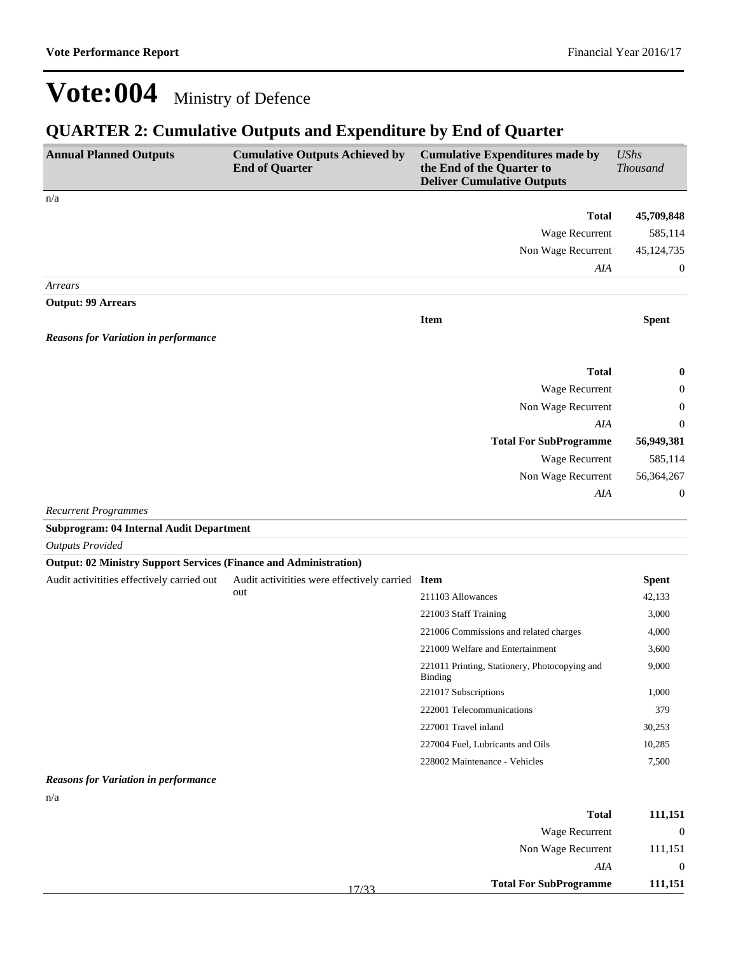### **QUARTER 2: Cumulative Outputs and Expenditure by End of Quarter**

| <b>Annual Planned Outputs</b>                                            | <b>Cumulative Outputs Achieved by</b><br><b>End of Quarter</b> | <b>Cumulative Expenditures made by</b><br>the End of the Quarter to<br><b>Deliver Cumulative Outputs</b> | <b>UShs</b><br><b>Thousand</b> |
|--------------------------------------------------------------------------|----------------------------------------------------------------|----------------------------------------------------------------------------------------------------------|--------------------------------|
| n/a                                                                      |                                                                |                                                                                                          |                                |
|                                                                          |                                                                | <b>Total</b>                                                                                             | 45,709,848                     |
|                                                                          |                                                                | Wage Recurrent                                                                                           | 585,114                        |
|                                                                          |                                                                | Non Wage Recurrent                                                                                       | 45,124,735                     |
|                                                                          |                                                                | AIA                                                                                                      | 0                              |
| Arrears                                                                  |                                                                |                                                                                                          |                                |
| <b>Output: 99 Arrears</b>                                                |                                                                |                                                                                                          |                                |
|                                                                          |                                                                | <b>Item</b>                                                                                              | <b>Spent</b>                   |
| <b>Reasons for Variation in performance</b>                              |                                                                |                                                                                                          |                                |
|                                                                          |                                                                |                                                                                                          |                                |
|                                                                          |                                                                | <b>Total</b>                                                                                             | $\bf{0}$                       |
|                                                                          |                                                                | Wage Recurrent                                                                                           | $\boldsymbol{0}$               |
|                                                                          |                                                                | Non Wage Recurrent                                                                                       | 0                              |
|                                                                          |                                                                | AIA                                                                                                      | $\theta$                       |
|                                                                          |                                                                | <b>Total For SubProgramme</b>                                                                            | 56,949,381                     |
|                                                                          |                                                                | Wage Recurrent                                                                                           | 585,114                        |
|                                                                          |                                                                | Non Wage Recurrent                                                                                       | 56,364,267                     |
|                                                                          |                                                                | AIA                                                                                                      | $\mathbf{0}$                   |
| <b>Recurrent Programmes</b>                                              |                                                                |                                                                                                          |                                |
| <b>Subprogram: 04 Internal Audit Department</b>                          |                                                                |                                                                                                          |                                |
| <b>Outputs Provided</b>                                                  |                                                                |                                                                                                          |                                |
| <b>Output: 02 Ministry Support Services (Finance and Administration)</b> |                                                                |                                                                                                          |                                |
| Audit activitities effectively carried out                               | Audit activitities were effectively carried Item               |                                                                                                          | <b>Spent</b>                   |
|                                                                          | out                                                            | 211103 Allowances                                                                                        | 42,133                         |
|                                                                          |                                                                | 221003 Staff Training                                                                                    | 3,000                          |
|                                                                          |                                                                | 221006 Commissions and related charges                                                                   | 4,000                          |
|                                                                          |                                                                | 221009 Welfare and Entertainment                                                                         | 3,600                          |
|                                                                          |                                                                | 221011 Printing, Stationery, Photocopying and<br><b>Binding</b>                                          | 9,000                          |
|                                                                          |                                                                | 221017 Subscriptions                                                                                     | 1,000                          |
|                                                                          |                                                                | 222001 Telecommunications                                                                                | 379                            |
|                                                                          |                                                                | 227001 Travel inland                                                                                     | 30,253                         |
|                                                                          |                                                                | 227004 Fuel, Lubricants and Oils                                                                         | 10,285                         |
|                                                                          |                                                                | 228002 Maintenance - Vehicles                                                                            | 7,500                          |
| <b>Reasons for Variation in performance</b>                              |                                                                |                                                                                                          |                                |
| n/a                                                                      |                                                                |                                                                                                          |                                |
|                                                                          |                                                                | <b>Total</b>                                                                                             | 111,151                        |

| <b>Total For SubProgramme</b> | 111,151  |
|-------------------------------|----------|
| AIA                           | $\Omega$ |
| Non Wage Recurrent            | 111,151  |
| Wage Recurrent                | $\Omega$ |
| 1 otal                        | 111,151  |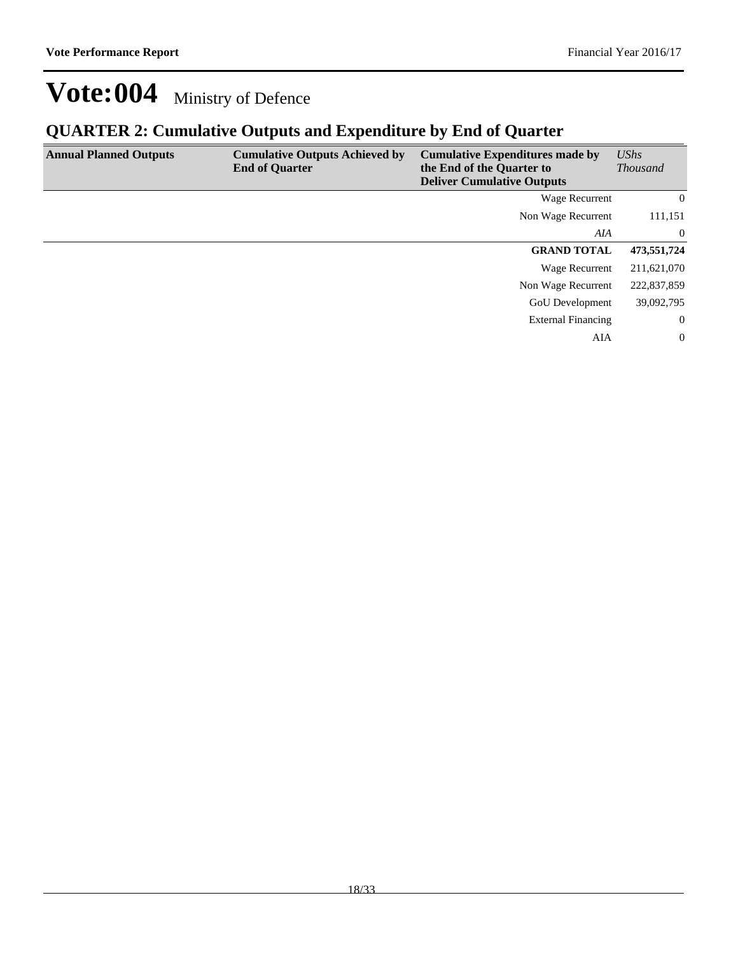### **QUARTER 2: Cumulative Outputs and Expenditure by End of Quarter**

| <b>Annual Planned Outputs</b> | <b>Cumulative Outputs Achieved by</b><br><b>End of Quarter</b> | <b>Cumulative Expenditures made by</b><br>the End of the Quarter to<br><b>Deliver Cumulative Outputs</b> | UShs<br><b>Thousand</b> |
|-------------------------------|----------------------------------------------------------------|----------------------------------------------------------------------------------------------------------|-------------------------|
|                               |                                                                | Wage Recurrent                                                                                           | $\overline{0}$          |
|                               |                                                                | Non Wage Recurrent                                                                                       | 111,151                 |
|                               |                                                                | AIA                                                                                                      | $\bf{0}$                |
|                               |                                                                | <b>GRAND TOTAL</b>                                                                                       | 473,551,724             |
|                               |                                                                | Wage Recurrent                                                                                           | 211,621,070             |
|                               |                                                                | Non Wage Recurrent                                                                                       | 222,837,859             |
|                               |                                                                | <b>GoU</b> Development                                                                                   | 39,092,795              |
|                               |                                                                | <b>External Financing</b>                                                                                | $\bf{0}$                |
|                               |                                                                | AIA                                                                                                      | $\overline{0}$          |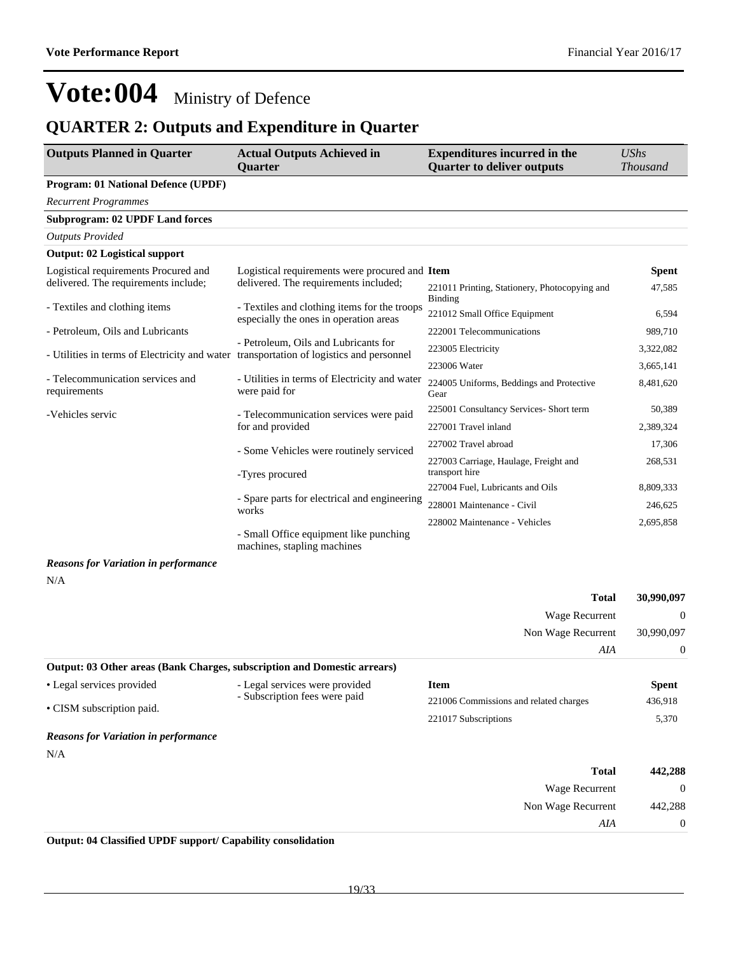### **QUARTER 2: Outputs and Expenditure in Quarter**

| <b>Outputs Planned in Quarter</b>                                                       | <b>Actual Outputs Achieved in</b><br><b>Expenditures incurred in the</b><br><b>Quarter to deliver outputs</b><br><b>Quarter</b> |                                                         | <b>UShs</b><br><b>Thousand</b> |
|-----------------------------------------------------------------------------------------|---------------------------------------------------------------------------------------------------------------------------------|---------------------------------------------------------|--------------------------------|
| <b>Program: 01 National Defence (UPDF)</b>                                              |                                                                                                                                 |                                                         |                                |
| <b>Recurrent Programmes</b>                                                             |                                                                                                                                 |                                                         |                                |
| <b>Subprogram: 02 UPDF Land forces</b>                                                  |                                                                                                                                 |                                                         |                                |
| <b>Outputs Provided</b>                                                                 |                                                                                                                                 |                                                         |                                |
| <b>Output: 02 Logistical support</b>                                                    |                                                                                                                                 |                                                         |                                |
| Logistical requirements Procured and<br>delivered. The requirements include;            | Logistical requirements were procured and Item<br>delivered. The requirements included;                                         | 221011 Printing, Stationery, Photocopying and           | Spent<br>47,585                |
| - Textiles and clothing items                                                           | - Textiles and clothing items for the troops<br>especially the ones in operation areas                                          | Binding<br>221012 Small Office Equipment                | 6,594                          |
| - Petroleum, Oils and Lubricants                                                        |                                                                                                                                 | 222001 Telecommunications                               | 989,710                        |
| - Utilities in terms of Electricity and water transportation of logistics and personnel | - Petroleum, Oils and Lubricants for                                                                                            | 223005 Electricity                                      | 3,322,082                      |
|                                                                                         |                                                                                                                                 | 223006 Water                                            | 3,665,141                      |
| - Telecommunication services and<br>requirements                                        | - Utilities in terms of Electricity and water<br>were paid for                                                                  | 224005 Uniforms, Beddings and Protective<br>Gear        | 8,481,620                      |
| -Vehicles servic                                                                        | - Telecommunication services were paid<br>for and provided                                                                      | 225001 Consultancy Services- Short term                 | 50,389                         |
|                                                                                         |                                                                                                                                 | 227001 Travel inland                                    | 2,389,324                      |
|                                                                                         | - Some Vehicles were routinely serviced                                                                                         | 227002 Travel abroad                                    | 17,306                         |
|                                                                                         | -Tyres procured                                                                                                                 | 227003 Carriage, Haulage, Freight and<br>transport hire | 268,531                        |
|                                                                                         | - Spare parts for electrical and engineering<br>works                                                                           | 227004 Fuel, Lubricants and Oils                        | 8,809,333                      |
|                                                                                         |                                                                                                                                 | 228001 Maintenance - Civil                              | 246,625                        |
|                                                                                         | - Small Office equipment like punching<br>machines, stapling machines                                                           |                                                         | 2,695,858                      |
| <b>Reasons for Variation in performance</b>                                             |                                                                                                                                 |                                                         |                                |
| N/A                                                                                     |                                                                                                                                 |                                                         |                                |
|                                                                                         |                                                                                                                                 | <b>Total</b>                                            | 30,990,097                     |
|                                                                                         |                                                                                                                                 | Wage Recurrent                                          | $\mathbf{0}$                   |
|                                                                                         |                                                                                                                                 | Non Wage Recurrent                                      | 30,990,097                     |
|                                                                                         |                                                                                                                                 | AIA                                                     | $\boldsymbol{0}$               |
| Output: 03 Other areas (Bank Charges, subscription and Domestic arrears)                |                                                                                                                                 |                                                         |                                |
| • Legal services provided                                                               | - Legal services were provided                                                                                                  | <b>Item</b>                                             | Spent                          |
| · CISM subscription paid.                                                               | - Subscription fees were paid                                                                                                   | 221006 Commissions and related charges                  | 436,918                        |
|                                                                                         |                                                                                                                                 | 221017 Subscriptions                                    | 5,370                          |

#### *Reasons for Variation in performance*

N/A

| 442,288        | <b>Total</b>       |
|----------------|--------------------|
| $\overline{0}$ | Wage Recurrent     |
| 442,288        | Non Wage Recurrent |
| $\overline{0}$ | AIA                |

#### **Output: 04 Classified UPDF support/ Capability consolidation**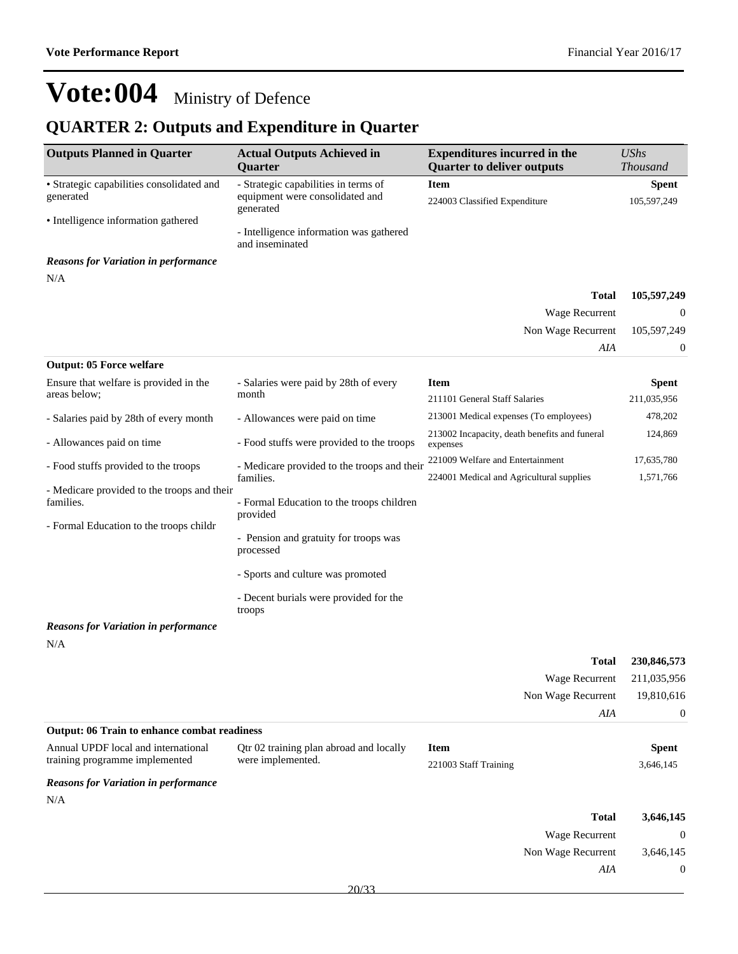*AIA* 0

## **Vote:004** Ministry of Defence

### **QUARTER 2: Outputs and Expenditure in Quarter**

| <b>Outputs Planned in Quarter</b>                                                                   | <b>Actual Outputs Achieved in</b><br>Quarter                                         | <b>Expenditures incurred in the</b><br><b>Quarter to deliver outputs</b> | <b>UShs</b><br><b>Thousand</b> |
|-----------------------------------------------------------------------------------------------------|--------------------------------------------------------------------------------------|--------------------------------------------------------------------------|--------------------------------|
| • Strategic capabilities consolidated and<br>generated<br>• Intelligence information gathered       | - Strategic capabilities in terms of<br>equipment were consolidated and<br>generated | <b>Item</b><br>224003 Classified Expenditure                             | <b>Spent</b><br>105,597,249    |
|                                                                                                     | - Intelligence information was gathered<br>and inseminated                           |                                                                          |                                |
| <b>Reasons for Variation in performance</b>                                                         |                                                                                      |                                                                          |                                |
| N/A                                                                                                 |                                                                                      | Total                                                                    | 105,597,249                    |
|                                                                                                     |                                                                                      | Wage Recurrent                                                           | $\theta$                       |
|                                                                                                     |                                                                                      | Non Wage Recurrent                                                       | 105,597,249                    |
|                                                                                                     |                                                                                      | AIA                                                                      | $\mathbf{0}$                   |
| <b>Output: 05 Force welfare</b>                                                                     |                                                                                      |                                                                          |                                |
| Ensure that welfare is provided in the                                                              | - Salaries were paid by 28th of every                                                | <b>Item</b>                                                              | <b>Spent</b>                   |
| areas below;                                                                                        | month                                                                                | 211101 General Staff Salaries                                            | 211,035,956                    |
| - Salaries paid by 28th of every month                                                              | - Allowances were paid on time                                                       | 213001 Medical expenses (To employees)                                   | 478,202                        |
| - Allowances paid on time                                                                           | - Food stuffs were provided to the troops                                            | 213002 Incapacity, death benefits and funeral<br>expenses                | 124,869                        |
| - Food stuffs provided to the troops                                                                | - Medicare provided to the troops and their                                          | 221009 Welfare and Entertainment                                         | 17,635,780                     |
|                                                                                                     | families.                                                                            | 224001 Medical and Agricultural supplies                                 | 1,571,766                      |
| - Medicare provided to the troops and their<br>families.<br>- Formal Education to the troops childr | - Formal Education to the troops children<br>provided                                |                                                                          |                                |
|                                                                                                     | - Pension and gratuity for troops was<br>processed                                   |                                                                          |                                |
|                                                                                                     | - Sports and culture was promoted                                                    |                                                                          |                                |
|                                                                                                     | - Decent burials were provided for the<br>troops                                     |                                                                          |                                |
| <b>Reasons for Variation in performance</b>                                                         |                                                                                      |                                                                          |                                |
| N/A                                                                                                 |                                                                                      |                                                                          |                                |
|                                                                                                     |                                                                                      | <b>Total</b>                                                             | 230,846,573                    |
|                                                                                                     |                                                                                      | Wage Recurrent                                                           | 211,035,956                    |
|                                                                                                     |                                                                                      | Non Wage Recurrent                                                       | 19,810,616                     |
| <b>Output: 06 Train to enhance combat readiness</b>                                                 |                                                                                      | AIA                                                                      | $\boldsymbol{0}$               |
| Annual UPDF local and international                                                                 | Qtr 02 training plan abroad and locally                                              | <b>Item</b>                                                              | <b>Spent</b>                   |
| training programme implemented                                                                      | were implemented.                                                                    | 221003 Staff Training                                                    | 3,646,145                      |
| <b>Reasons for Variation in performance</b><br>N/A                                                  |                                                                                      |                                                                          |                                |
|                                                                                                     |                                                                                      | <b>Total</b>                                                             | 3,646,145                      |
|                                                                                                     |                                                                                      | Wage Recurrent                                                           | $\mathbf{0}$                   |
|                                                                                                     |                                                                                      | Non Wage Recurrent                                                       | 3,646,145                      |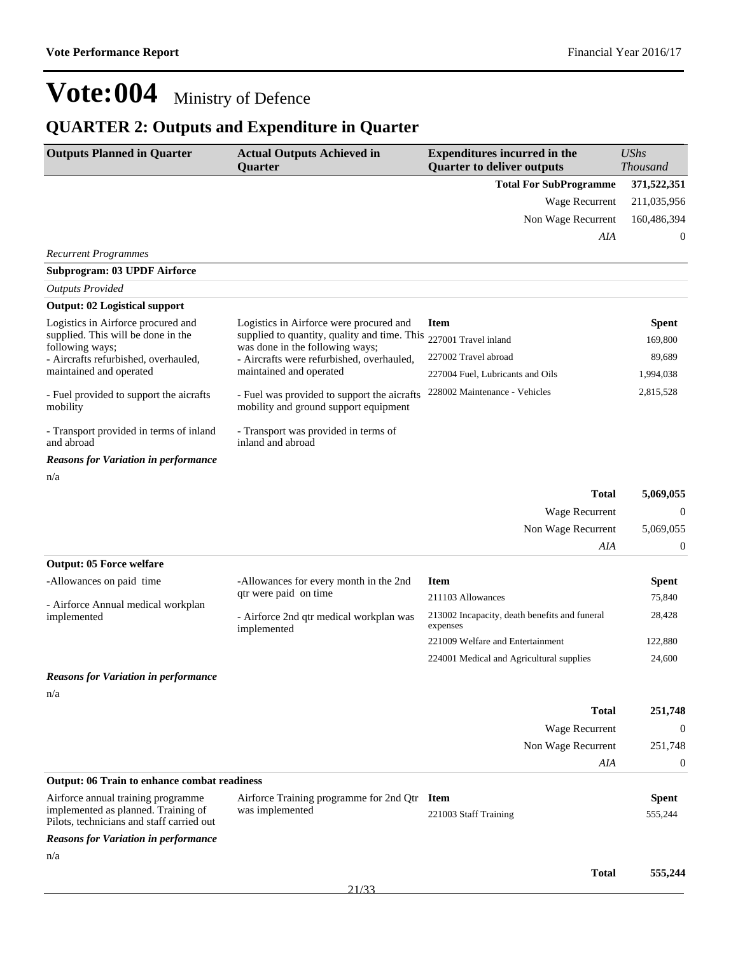### **QUARTER 2: Outputs and Expenditure in Quarter**

| <b>Outputs Planned in Quarter</b>                                                                                      | <b>Actual Outputs Achieved in</b><br><b>Quarter</b>                                  | <b>Expenditures incurred in the</b><br><b>Quarter to deliver outputs</b> | <b>UShs</b><br><b>Thousand</b> |
|------------------------------------------------------------------------------------------------------------------------|--------------------------------------------------------------------------------------|--------------------------------------------------------------------------|--------------------------------|
|                                                                                                                        |                                                                                      | <b>Total For SubProgramme</b>                                            | 371,522,351                    |
|                                                                                                                        |                                                                                      | Wage Recurrent                                                           | 211,035,956                    |
|                                                                                                                        |                                                                                      | Non Wage Recurrent                                                       | 160,486,394                    |
|                                                                                                                        |                                                                                      | AIA                                                                      | 0                              |
| <b>Recurrent Programmes</b>                                                                                            |                                                                                      |                                                                          |                                |
| <b>Subprogram: 03 UPDF Airforce</b>                                                                                    |                                                                                      |                                                                          |                                |
| <b>Outputs Provided</b>                                                                                                |                                                                                      |                                                                          |                                |
| <b>Output: 02 Logistical support</b>                                                                                   |                                                                                      |                                                                          |                                |
| Logistics in Airforce procured and                                                                                     | Logistics in Airforce were procured and                                              | <b>Item</b>                                                              | <b>Spent</b>                   |
| supplied. This will be done in the<br>following ways;                                                                  | supplied to quantity, quality and time. This<br>was done in the following ways;      | 227001 Travel inland                                                     | 169,800                        |
| - Aircrafts refurbished, overhauled,                                                                                   | - Aircrafts were refurbished, overhauled,                                            | 227002 Travel abroad                                                     | 89,689                         |
| maintained and operated                                                                                                | maintained and operated                                                              | 227004 Fuel, Lubricants and Oils                                         | 1,994,038                      |
| - Fuel provided to support the aicrafts<br>mobility                                                                    | - Fuel was provided to support the aicrafts<br>mobility and ground support equipment | 228002 Maintenance - Vehicles                                            | 2,815,528                      |
| - Transport provided in terms of inland<br>and abroad                                                                  | - Transport was provided in terms of<br>inland and abroad                            |                                                                          |                                |
| <b>Reasons for Variation in performance</b>                                                                            |                                                                                      |                                                                          |                                |
| n/a                                                                                                                    |                                                                                      |                                                                          |                                |
|                                                                                                                        |                                                                                      | <b>Total</b>                                                             | 5,069,055                      |
|                                                                                                                        |                                                                                      | Wage Recurrent                                                           | 0                              |
|                                                                                                                        |                                                                                      | Non Wage Recurrent                                                       | 5,069,055                      |
|                                                                                                                        |                                                                                      | AIA                                                                      | 0                              |
| <b>Output: 05 Force welfare</b>                                                                                        |                                                                                      |                                                                          |                                |
| -Allowances on paid time                                                                                               | -Allowances for every month in the 2nd                                               | <b>Item</b>                                                              | Spent                          |
| - Airforce Annual medical workplan                                                                                     | qtr were paid on time                                                                | 211103 Allowances                                                        | 75,840                         |
| implemented                                                                                                            | - Airforce 2nd qtr medical workplan was<br>implemented                               | 213002 Incapacity, death benefits and funeral<br>expenses                | 28,428                         |
|                                                                                                                        |                                                                                      | 221009 Welfare and Entertainment                                         | 122,880                        |
|                                                                                                                        |                                                                                      | 224001 Medical and Agricultural supplies                                 | 24,600                         |
| <b>Reasons for Variation in performance</b>                                                                            |                                                                                      |                                                                          |                                |
| n/a                                                                                                                    |                                                                                      |                                                                          |                                |
|                                                                                                                        |                                                                                      | <b>Total</b>                                                             | 251,748                        |
|                                                                                                                        |                                                                                      | Wage Recurrent                                                           | $\boldsymbol{0}$               |
|                                                                                                                        |                                                                                      | Non Wage Recurrent                                                       | 251,748                        |
|                                                                                                                        |                                                                                      | AIA                                                                      | $\boldsymbol{0}$               |
| Output: 06 Train to enhance combat readiness                                                                           |                                                                                      |                                                                          |                                |
| Airforce annual training programme<br>implemented as planned. Training of<br>Pilots, technicians and staff carried out | Airforce Training programme for 2nd Qtr Item<br>was implemented                      | 221003 Staff Training                                                    | <b>Spent</b><br>555,244        |
| <b>Reasons for Variation in performance</b>                                                                            |                                                                                      |                                                                          |                                |
| n/a                                                                                                                    |                                                                                      |                                                                          |                                |
|                                                                                                                        |                                                                                      | <b>Total</b>                                                             | 555,244                        |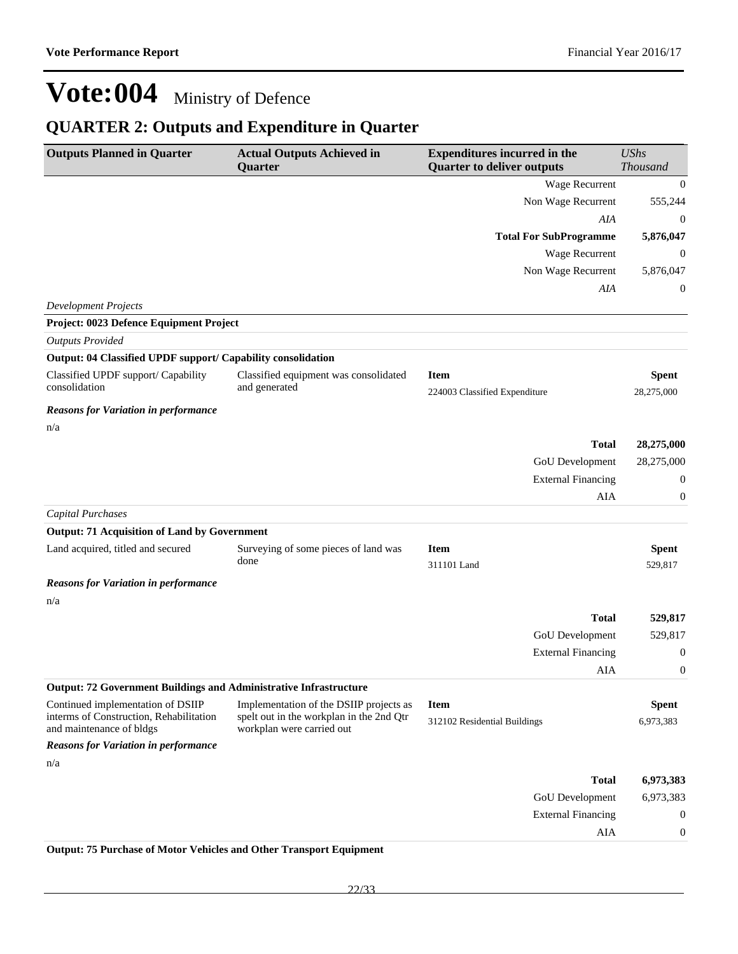### **QUARTER 2: Outputs and Expenditure in Quarter**

| <b>Outputs Planned in Quarter</b>                                        | <b>Actual Outputs Achieved in</b><br>Quarter                          | <b>Expenditures incurred in the</b><br><b>Quarter to deliver outputs</b> | <b>UShs</b><br>Thousand    |
|--------------------------------------------------------------------------|-----------------------------------------------------------------------|--------------------------------------------------------------------------|----------------------------|
|                                                                          |                                                                       | Wage Recurrent                                                           | $\mathbf{0}$               |
|                                                                          |                                                                       | Non Wage Recurrent                                                       | 555,244                    |
|                                                                          |                                                                       | AIA                                                                      | 0                          |
|                                                                          |                                                                       | <b>Total For SubProgramme</b>                                            | 5,876,047                  |
|                                                                          |                                                                       | Wage Recurrent                                                           | 0                          |
|                                                                          |                                                                       | Non Wage Recurrent                                                       | 5,876,047                  |
|                                                                          |                                                                       | AIA                                                                      | 0                          |
| <b>Development Projects</b>                                              |                                                                       |                                                                          |                            |
| Project: 0023 Defence Equipment Project                                  |                                                                       |                                                                          |                            |
| <b>Outputs Provided</b>                                                  |                                                                       |                                                                          |                            |
| Output: 04 Classified UPDF support/ Capability consolidation             |                                                                       |                                                                          |                            |
| Classified UPDF support/ Capability<br>consolidation                     | Classified equipment was consolidated<br>and generated                | <b>Item</b><br>224003 Classified Expenditure                             | <b>Spent</b><br>28,275,000 |
| <b>Reasons for Variation in performance</b>                              |                                                                       |                                                                          |                            |
| n/a                                                                      |                                                                       |                                                                          |                            |
|                                                                          |                                                                       | <b>Total</b>                                                             | 28,275,000                 |
|                                                                          |                                                                       | GoU Development                                                          | 28,275,000                 |
|                                                                          |                                                                       | <b>External Financing</b>                                                | 0                          |
|                                                                          |                                                                       | AIA                                                                      | 0                          |
| <b>Capital Purchases</b>                                                 |                                                                       |                                                                          |                            |
| <b>Output: 71 Acquisition of Land by Government</b>                      |                                                                       |                                                                          |                            |
| Land acquired, titled and secured                                        | Surveying of some pieces of land was<br>done                          | <b>Item</b><br>311101 Land                                               | <b>Spent</b><br>529,817    |
| <b>Reasons for Variation in performance</b>                              |                                                                       |                                                                          |                            |
| n/a                                                                      |                                                                       |                                                                          |                            |
|                                                                          |                                                                       | <b>Total</b>                                                             | 529,817                    |
|                                                                          |                                                                       | <b>GoU</b> Development                                                   | 529,817                    |
|                                                                          |                                                                       | <b>External Financing</b>                                                | 0                          |
|                                                                          |                                                                       | AIA                                                                      | 0                          |
| <b>Output: 72 Government Buildings and Administrative Infrastructure</b> |                                                                       |                                                                          |                            |
| Continued implementation of DSIIP                                        | Implementation of the DSIIP projects as                               | <b>Item</b>                                                              | <b>Spent</b>               |
| interms of Construction, Rehabilitation<br>and maintenance of bldgs      | spelt out in the workplan in the 2nd Qtr<br>workplan were carried out | 312102 Residential Buildings                                             | 6,973,383                  |
| <b>Reasons for Variation in performance</b>                              |                                                                       |                                                                          |                            |
| n/a                                                                      |                                                                       |                                                                          |                            |
|                                                                          |                                                                       | <b>Total</b>                                                             | 6,973,383                  |
|                                                                          |                                                                       | GoU Development                                                          | 6,973,383                  |
|                                                                          |                                                                       | <b>External Financing</b>                                                | 0                          |
|                                                                          |                                                                       | AIA                                                                      | 0                          |

**Output: 75 Purchase of Motor Vehicles and Other Transport Equipment**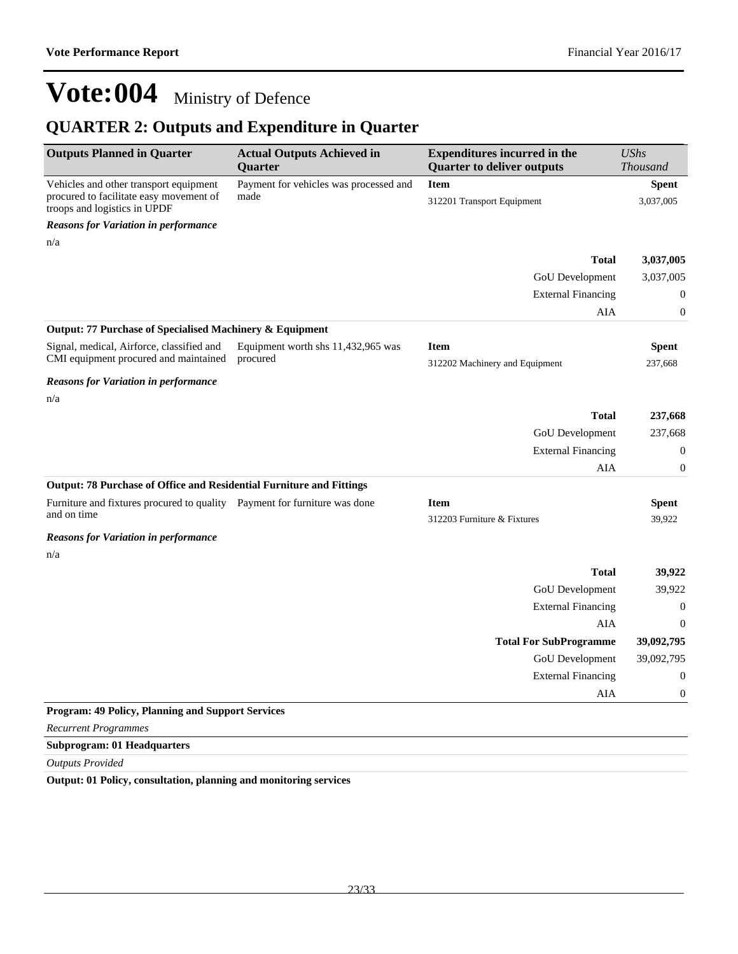### **QUARTER 2: Outputs and Expenditure in Quarter**

| <b>Outputs Planned in Quarter</b>                                                         | <b>Actual Outputs Achieved in</b><br>Quarter | <b>Expenditures incurred in the</b><br><b>Quarter to deliver outputs</b> | <b>UShs</b><br><b>Thousand</b> |
|-------------------------------------------------------------------------------------------|----------------------------------------------|--------------------------------------------------------------------------|--------------------------------|
| Vehicles and other transport equipment                                                    | Payment for vehicles was processed and       | <b>Item</b>                                                              | <b>Spent</b>                   |
| procured to facilitate easy movement of<br>troops and logistics in UPDF                   | made                                         | 312201 Transport Equipment                                               | 3,037,005                      |
| <b>Reasons for Variation in performance</b>                                               |                                              |                                                                          |                                |
| n/a                                                                                       |                                              |                                                                          |                                |
|                                                                                           |                                              | <b>Total</b>                                                             | 3,037,005                      |
|                                                                                           |                                              | GoU Development                                                          | 3,037,005                      |
|                                                                                           |                                              | <b>External Financing</b>                                                | 0                              |
|                                                                                           |                                              | AIA                                                                      | $\boldsymbol{0}$               |
| Output: 77 Purchase of Specialised Machinery & Equipment                                  |                                              |                                                                          |                                |
| Signal, medical, Airforce, classified and                                                 | Equipment worth shs 11,432,965 was           | <b>Item</b>                                                              | <b>Spent</b>                   |
| CMI equipment procured and maintained                                                     | procured                                     | 312202 Machinery and Equipment                                           | 237,668                        |
| <b>Reasons for Variation in performance</b>                                               |                                              |                                                                          |                                |
| n/a                                                                                       |                                              |                                                                          |                                |
|                                                                                           |                                              | <b>Total</b>                                                             | 237,668                        |
|                                                                                           |                                              | GoU Development                                                          | 237,668                        |
|                                                                                           |                                              | <b>External Financing</b>                                                | $\boldsymbol{0}$               |
|                                                                                           |                                              | AIA                                                                      | $\boldsymbol{0}$               |
| <b>Output: 78 Purchase of Office and Residential Furniture and Fittings</b>               |                                              |                                                                          |                                |
| Furniture and fixtures procured to quality  Payment for furniture was done<br>and on time |                                              | <b>Item</b>                                                              | <b>Spent</b>                   |
|                                                                                           |                                              | 312203 Furniture & Fixtures                                              | 39,922                         |
| <b>Reasons for Variation in performance</b>                                               |                                              |                                                                          |                                |
| n/a                                                                                       |                                              |                                                                          |                                |
|                                                                                           |                                              | <b>Total</b>                                                             | 39,922                         |
|                                                                                           |                                              | GoU Development                                                          | 39,922                         |
|                                                                                           |                                              | <b>External Financing</b>                                                | $\boldsymbol{0}$               |
|                                                                                           |                                              | AIA                                                                      | $\mathbf{0}$                   |
|                                                                                           |                                              | <b>Total For SubProgramme</b>                                            | 39,092,795                     |
|                                                                                           |                                              | <b>GoU</b> Development                                                   | 39,092,795                     |
|                                                                                           |                                              | <b>External Financing</b>                                                | 0                              |
|                                                                                           |                                              | AIA                                                                      | 0                              |
| <b>Program: 49 Policy, Planning and Support Services</b>                                  |                                              |                                                                          |                                |
| <b>Recurrent Programmes</b>                                                               |                                              |                                                                          |                                |

#### **Subprogram: 01 Headquarters**

*Outputs Provided*

**Output: 01 Policy, consultation, planning and monitoring services**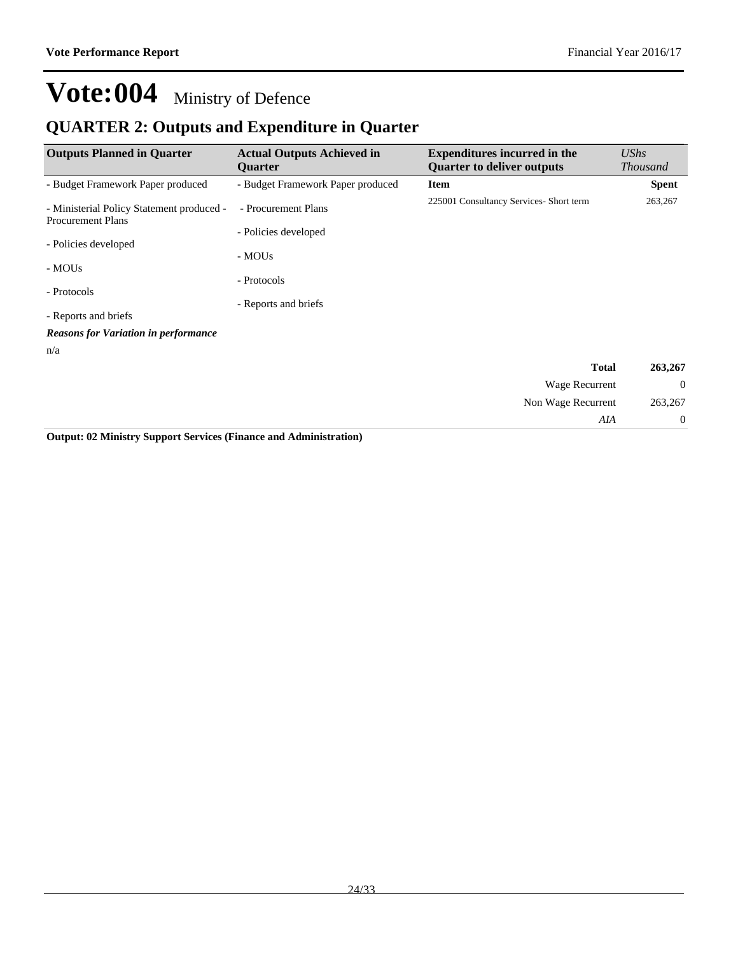*AIA* 0

## **Vote:004** Ministry of Defence

### **QUARTER 2: Outputs and Expenditure in Quarter**

| <b>Outputs Planned in Quarter</b>                                     | <b>Actual Outputs Achieved in</b><br><b>Ouarter</b> | <b>Expenditures incurred in the</b><br><b>Quarter to deliver outputs</b> | UShs<br><b>Thousand</b> |
|-----------------------------------------------------------------------|-----------------------------------------------------|--------------------------------------------------------------------------|-------------------------|
| - Budget Framework Paper produced                                     | - Budget Framework Paper produced                   | <b>Item</b>                                                              | <b>Spent</b>            |
| - Ministerial Policy Statement produced -<br><b>Procurement Plans</b> | - Procurement Plans                                 | 225001 Consultancy Services- Short term                                  | 263,267                 |
|                                                                       | - Policies developed                                |                                                                          |                         |
| - Policies developed                                                  | - MOUs                                              |                                                                          |                         |
| - MOUs                                                                | - Protocols                                         |                                                                          |                         |
| - Protocols                                                           |                                                     |                                                                          |                         |
| - Reports and briefs                                                  | - Reports and briefs                                |                                                                          |                         |
| <b>Reasons for Variation in performance</b>                           |                                                     |                                                                          |                         |
| n/a                                                                   |                                                     |                                                                          |                         |
|                                                                       |                                                     | <b>Total</b>                                                             | 263,267                 |
|                                                                       |                                                     | Wage Recurrent                                                           | $\theta$                |
|                                                                       |                                                     | Non Wage Recurrent                                                       | 263,267                 |

**Output: 02 Ministry Support Services (Finance and Administration)**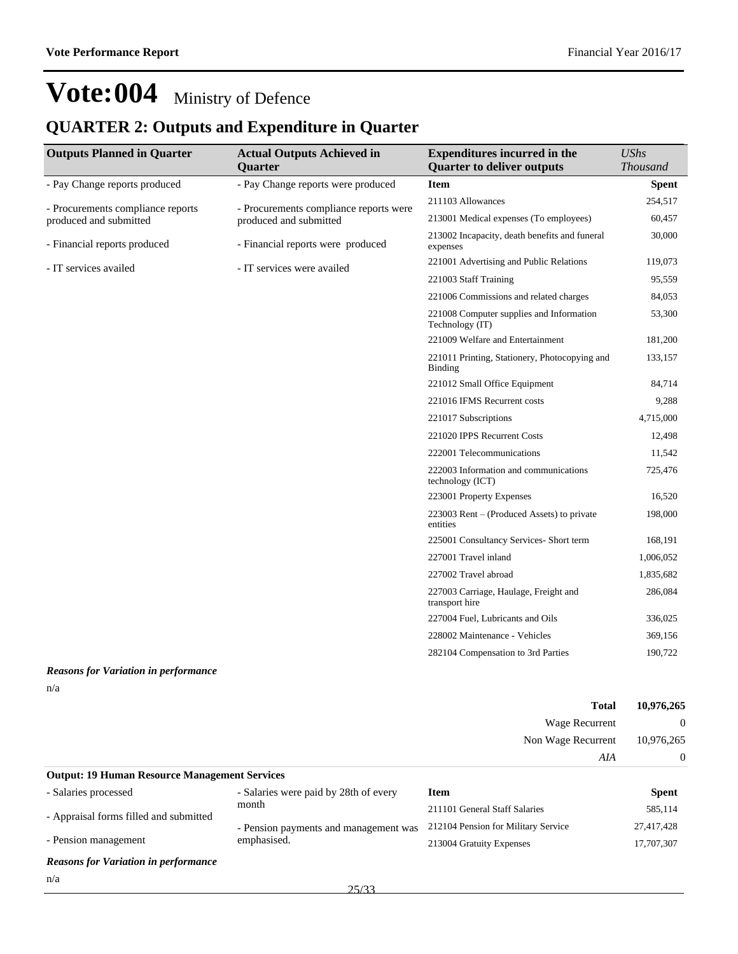### **QUARTER 2: Outputs and Expenditure in Quarter**

| <b>Outputs Planned in Quarter</b><br><b>Actual Outputs Achieved in</b> |                                        | <b>Expenditures incurred in the</b>                         | <b>UShs</b>     |
|------------------------------------------------------------------------|----------------------------------------|-------------------------------------------------------------|-----------------|
|                                                                        | <b>Quarter</b>                         | <b>Quarter to deliver outputs</b>                           | <b>Thousand</b> |
| - Pay Change reports produced                                          | - Pay Change reports were produced     | <b>Item</b>                                                 | <b>Spent</b>    |
| - Procurements compliance reports                                      | - Procurements compliance reports were | 211103 Allowances                                           | 254,517         |
| produced and submitted                                                 | produced and submitted                 | 213001 Medical expenses (To employees)                      | 60,457          |
| - Financial reports produced                                           | - Financial reports were produced      | 213002 Incapacity, death benefits and funeral<br>expenses   | 30,000          |
| - IT services availed                                                  | - IT services were availed             | 221001 Advertising and Public Relations                     | 119,073         |
|                                                                        |                                        | 221003 Staff Training                                       | 95,559          |
|                                                                        |                                        | 221006 Commissions and related charges                      | 84,053          |
|                                                                        |                                        | 221008 Computer supplies and Information<br>Technology (IT) | 53,300          |
|                                                                        |                                        | 221009 Welfare and Entertainment                            | 181,200         |
|                                                                        |                                        | 221011 Printing, Stationery, Photocopying and<br>Binding    | 133,157         |
|                                                                        |                                        | 221012 Small Office Equipment                               | 84,714          |
|                                                                        |                                        | 221016 IFMS Recurrent costs                                 | 9,288           |
|                                                                        |                                        | 221017 Subscriptions                                        | 4,715,000       |
|                                                                        |                                        | 221020 IPPS Recurrent Costs                                 | 12,498          |
|                                                                        |                                        | 222001 Telecommunications                                   | 11,542          |
|                                                                        |                                        | 222003 Information and communications<br>technology (ICT)   | 725,476         |
|                                                                        |                                        | 223001 Property Expenses                                    | 16,520          |
|                                                                        |                                        | 223003 Rent – (Produced Assets) to private<br>entities      | 198,000         |
|                                                                        |                                        | 225001 Consultancy Services- Short term                     | 168,191         |
|                                                                        |                                        | 227001 Travel inland                                        | 1,006,052       |
|                                                                        |                                        | 227002 Travel abroad                                        | 1,835,682       |
|                                                                        |                                        | 227003 Carriage, Haulage, Freight and<br>transport hire     | 286,084         |
|                                                                        |                                        | 227004 Fuel, Lubricants and Oils                            | 336,025         |
|                                                                        |                                        | 228002 Maintenance - Vehicles                               | 369,156         |
|                                                                        |                                        | 282104 Compensation to 3rd Parties                          | 190,722         |
|                                                                        |                                        |                                                             |                 |

#### *Reasons for Variation in performance* n/a

|                                                      |                                       |             | <b>Total</b>                         | 10,976,265<br>$\Omega$<br>10,976,265 |
|------------------------------------------------------|---------------------------------------|-------------|--------------------------------------|--------------------------------------|
|                                                      |                                       |             | Wage Recurrent<br>Non Wage Recurrent |                                      |
|                                                      |                                       |             |                                      |                                      |
|                                                      |                                       | AIA         | $\theta$                             |                                      |
| <b>Output: 19 Human Resource Management Services</b> |                                       |             |                                      |                                      |
| - Salaries processed                                 | - Salaries were paid by 28th of every | <b>Item</b> |                                      | <b>Spent</b>                         |

| - Saiaries processed                   | - Salaries were paid by zoun of every | пет                                 | эрепи      |
|----------------------------------------|---------------------------------------|-------------------------------------|------------|
| - Appraisal forms filled and submitted | month                                 | 211101 General Staff Salaries       | 585.114    |
|                                        | - Pension payments and management was | 212104 Pension for Military Service | 27.417.428 |
| - Pension management                   | emphasised.                           | 213004 Gratuity Expenses            | 17.707.307 |
|                                        |                                       |                                     |            |

*Reasons for Variation in performance*

n/a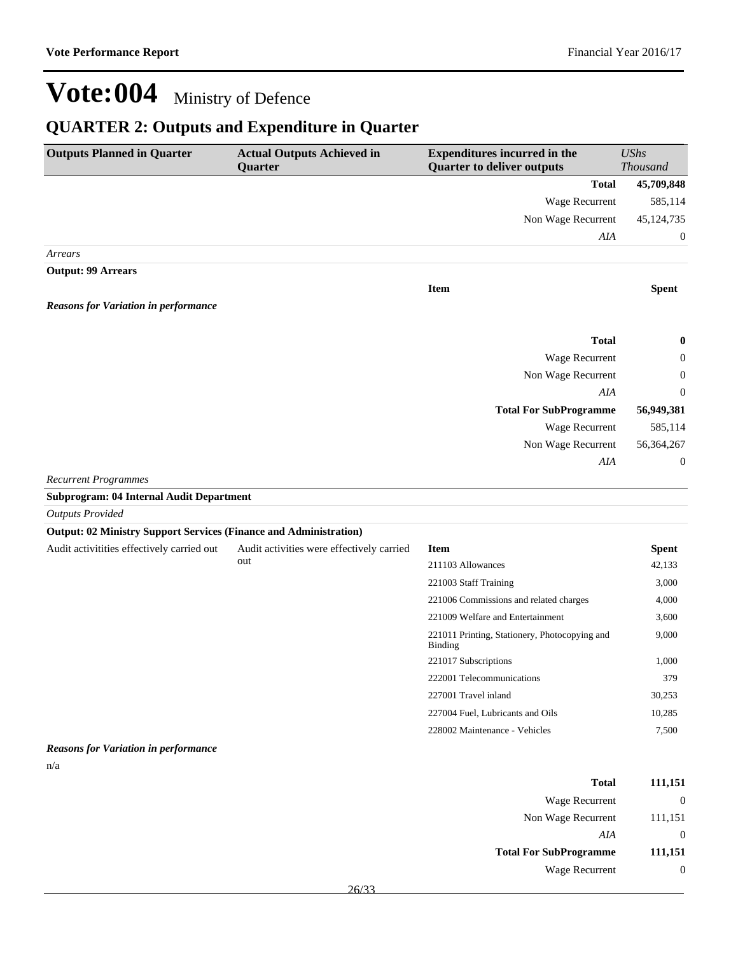### **QUARTER 2: Outputs and Expenditure in Quarter**

| <b>Outputs Planned in Quarter</b>                                        | <b>Actual Outputs Achieved in</b><br>Quarter                                        | <b>Expenditures incurred in the</b><br><b>Quarter to deliver outputs</b> | <b>UShs</b><br><b>Thousand</b> |
|--------------------------------------------------------------------------|-------------------------------------------------------------------------------------|--------------------------------------------------------------------------|--------------------------------|
|                                                                          |                                                                                     | <b>Total</b>                                                             | 45,709,848                     |
|                                                                          |                                                                                     | <b>Wage Recurrent</b>                                                    | 585,114                        |
|                                                                          |                                                                                     | Non Wage Recurrent                                                       | 45, 124, 735                   |
|                                                                          |                                                                                     | AIA                                                                      | $\mathbf{0}$                   |
| Arrears                                                                  |                                                                                     |                                                                          |                                |
| <b>Output: 99 Arrears</b>                                                |                                                                                     |                                                                          |                                |
|                                                                          |                                                                                     | <b>Item</b>                                                              | <b>Spent</b>                   |
| <b>Reasons for Variation in performance</b>                              |                                                                                     |                                                                          |                                |
|                                                                          |                                                                                     |                                                                          |                                |
|                                                                          |                                                                                     | <b>Total</b>                                                             | $\bf{0}$                       |
|                                                                          |                                                                                     | Wage Recurrent                                                           | 0                              |
|                                                                          |                                                                                     | Non Wage Recurrent                                                       | $\overline{0}$                 |
|                                                                          |                                                                                     | AIA                                                                      | $\theta$                       |
|                                                                          |                                                                                     | <b>Total For SubProgramme</b>                                            | 56,949,381                     |
|                                                                          |                                                                                     | <b>Wage Recurrent</b>                                                    | 585,114                        |
|                                                                          |                                                                                     | Non Wage Recurrent                                                       | 56,364,267                     |
|                                                                          |                                                                                     | AIA                                                                      | $\boldsymbol{0}$               |
| <b>Recurrent Programmes</b>                                              |                                                                                     |                                                                          |                                |
| Subprogram: 04 Internal Audit Department                                 |                                                                                     |                                                                          |                                |
| <b>Outputs Provided</b>                                                  |                                                                                     |                                                                          |                                |
| <b>Output: 02 Ministry Support Services (Finance and Administration)</b> |                                                                                     |                                                                          |                                |
|                                                                          | And t activities of fectively carried out And t activities were offectively carried | <b>Itam</b>                                                              | $_{\mathbf{Conont}}$           |

| Audit activitities effectively carried out | Audit activities were effectively carried<br>out | <b>Item</b>                                              | <b>Spent</b> |
|--------------------------------------------|--------------------------------------------------|----------------------------------------------------------|--------------|
|                                            |                                                  | 211103 Allowances                                        | 42,133       |
|                                            |                                                  | 221003 Staff Training                                    | 3,000        |
|                                            |                                                  | 221006 Commissions and related charges                   | 4,000        |
|                                            |                                                  | 221009 Welfare and Entertainment                         | 3,600        |
|                                            |                                                  | 221011 Printing, Stationery, Photocopying and<br>Binding | 9,000        |
|                                            |                                                  | 221017 Subscriptions                                     | 1,000        |
|                                            |                                                  | 222001 Telecommunications                                | 379          |
|                                            |                                                  | 227001 Travel inland                                     | 30,253       |
|                                            |                                                  | 227004 Fuel, Lubricants and Oils                         | 10,285       |
|                                            |                                                  | 228002 Maintenance - Vehicles                            | 7,500        |

#### *Reasons for Variation in performance*

n/a

| 111,151      | Total                         |
|--------------|-------------------------------|
|              | Wage Recurrent                |
| 111,151      | Non Wage Recurrent            |
| $\mathbf{0}$ | AIA                           |
| 111,151      | <b>Total For SubProgramme</b> |
|              | Wage Recurrent                |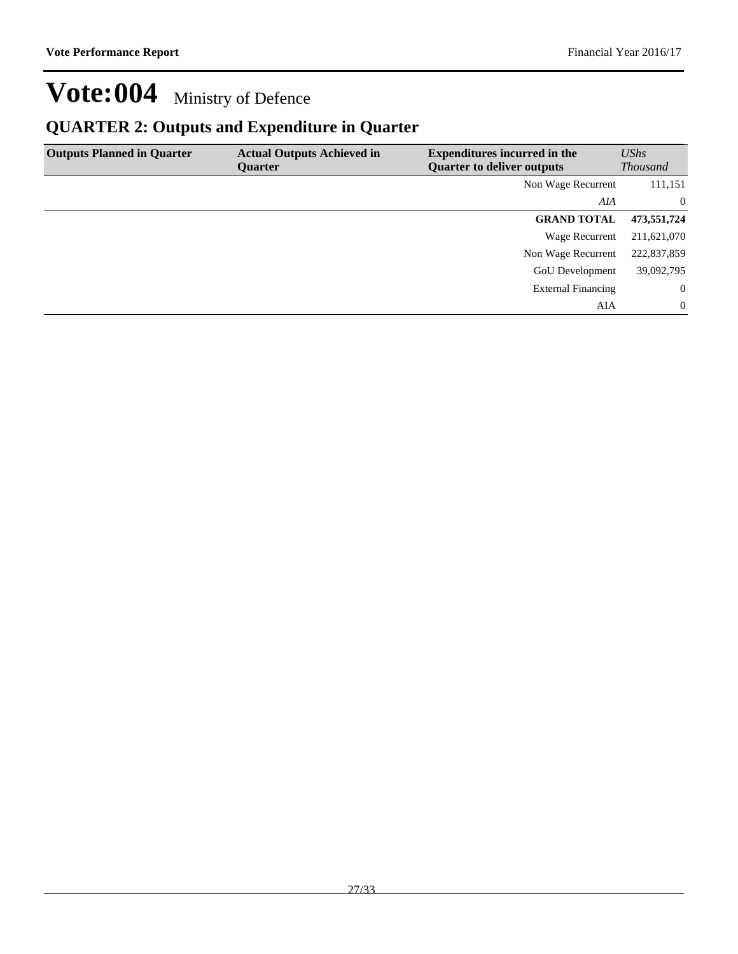### **QUARTER 2: Outputs and Expenditure in Quarter**

| <b>Outputs Planned in Quarter</b> | <b>Actual Outputs Achieved in</b><br><b>Ouarter</b> | <b>Expenditures incurred in the</b><br><b>Quarter to deliver outputs</b> | UShs<br><b>Thousand</b> |
|-----------------------------------|-----------------------------------------------------|--------------------------------------------------------------------------|-------------------------|
|                                   |                                                     | Non Wage Recurrent                                                       | 111,151                 |
|                                   |                                                     | AIA                                                                      | $\overline{0}$          |
|                                   |                                                     | <b>GRAND TOTAL</b>                                                       | 473,551,724             |
|                                   |                                                     | Wage Recurrent                                                           | 211,621,070             |
|                                   |                                                     | Non Wage Recurrent                                                       | 222,837,859             |
|                                   |                                                     | <b>GoU</b> Development                                                   | 39,092,795              |
|                                   |                                                     | <b>External Financing</b>                                                | $\overline{0}$          |
|                                   |                                                     | AIA                                                                      | $\Omega$                |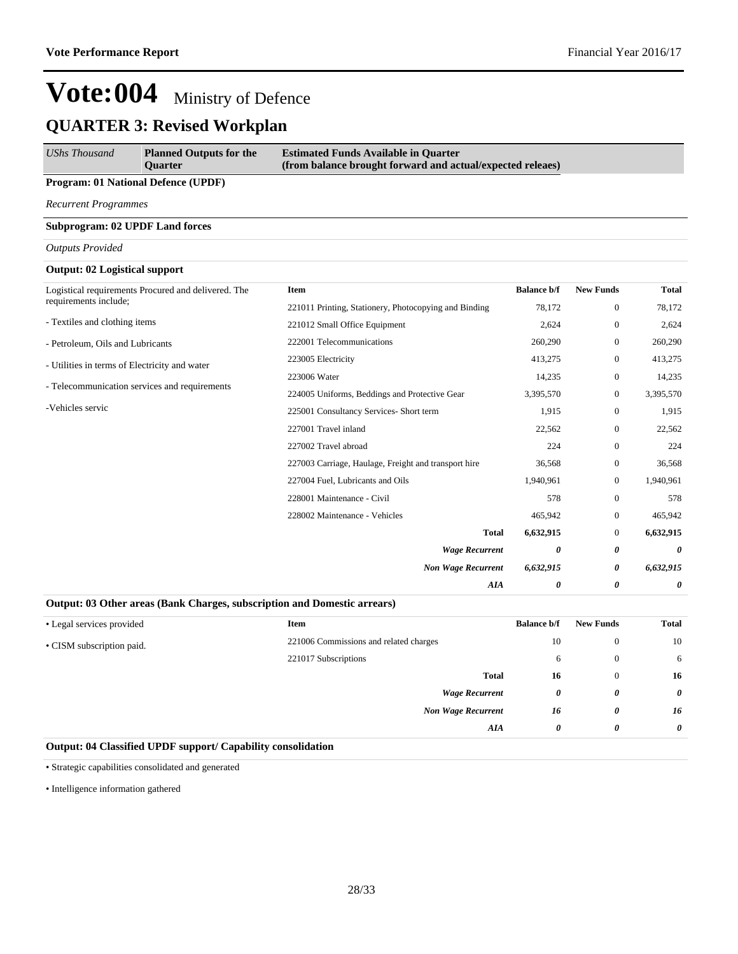| UShs Thousand | <b>Planned Outputs for the</b><br><b>Ouarter</b> | <b>Estimated Funds Available in Quarter</b><br>(from balance brought forward and actual/expected releaes) |
|---------------|--------------------------------------------------|-----------------------------------------------------------------------------------------------------------|
|               |                                                  |                                                                                                           |

#### **Program: 01 National Defence (UPDF)**

*Recurrent Programmes*

#### **Subprogram: 02 UPDF Land forces**

*Outputs Provided*

#### **Output: 02 Logistical support**

| Logistical requirements Procured and delivered. The | <b>Item</b>                                           | <b>Balance b/f</b> | <b>New Funds</b> | <b>Total</b> |
|-----------------------------------------------------|-------------------------------------------------------|--------------------|------------------|--------------|
| requirements include;                               | 221011 Printing, Stationery, Photocopying and Binding | 78,172             | $\mathbf{0}$     | 78,172       |
| - Textiles and clothing items                       | 221012 Small Office Equipment                         | 2,624              | $\mathbf{0}$     | 2,624        |
| - Petroleum, Oils and Lubricants                    | 222001 Telecommunications                             | 260,290            | $\mathbf{0}$     | 260,290      |
| - Utilities in terms of Electricity and water       | 223005 Electricity                                    | 413,275            | $\mathbf{0}$     | 413,275      |
|                                                     | 223006 Water                                          | 14,235             | $\mathbf{0}$     | 14,235       |
| - Telecommunication services and requirements       | 224005 Uniforms, Beddings and Protective Gear         | 3,395,570          | $\mathbf{0}$     | 3,395,570    |
| -Vehicles servic                                    | 225001 Consultancy Services- Short term               | 1,915              | $\mathbf{0}$     | 1,915        |
|                                                     | 227001 Travel inland                                  | 22,562             | $\mathbf{0}$     | 22,562       |
|                                                     | 227002 Travel abroad                                  | 224                | $\mathbf{0}$     | 224          |
|                                                     | 227003 Carriage, Haulage, Freight and transport hire  | 36,568             | $\mathbf{0}$     | 36,568       |
|                                                     | 227004 Fuel, Lubricants and Oils                      | 1,940,961          | $\mathbf{0}$     | 1,940,961    |
|                                                     | 228001 Maintenance - Civil                            | 578                | $\theta$         | 578          |
|                                                     | 228002 Maintenance - Vehicles                         | 465,942            | $\mathbf{0}$     | 465,942      |
|                                                     | Total                                                 | 6,632,915          | $\mathbf{0}$     | 6,632,915    |
|                                                     | <b>Wage Recurrent</b>                                 | 0                  | 0                | 0            |
|                                                     | <b>Non Wage Recurrent</b>                             | 6,632,915          | 0                | 6,632,915    |
|                                                     | AIA                                                   | 0                  | 0                | 0            |

#### **Output: 03 Other areas (Bank Charges, subscription and Domestic arrears)**

| • Legal services provided | <b>Item</b>                            | <b>Balance b/f</b> | <b>New Funds</b> | <b>Total</b>          |
|---------------------------|----------------------------------------|--------------------|------------------|-----------------------|
| • CISM subscription paid. | 221006 Commissions and related charges | 10                 | $\mathbf{0}$     | 10                    |
|                           | 221017 Subscriptions                   | 6                  | $\mathbf{0}$     | 6                     |
|                           | <b>Total</b>                           | 16                 | $\theta$         | 16                    |
|                           | <b>Wage Recurrent</b>                  | 0                  | 0                | $\boldsymbol{\theta}$ |
|                           | <b>Non Wage Recurrent</b>              | 16                 | 0                | 16                    |
|                           | AIA                                    | 0                  | 0                | $\boldsymbol{\theta}$ |
|                           |                                        |                    |                  |                       |

#### **Output: 04 Classified UPDF support/ Capability consolidation**

Strategic capabilities consolidated and generated

• Intelligence information gathered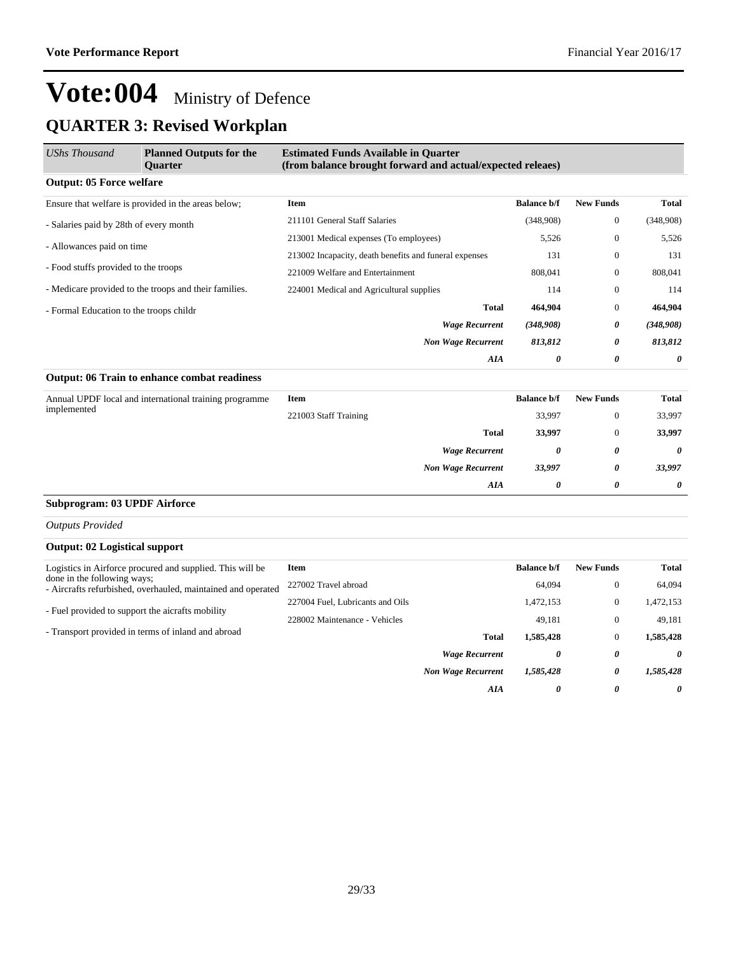| <b>UShs Thousand</b>                    | <b>Planned Outputs for the</b><br>Quarter              | <b>Estimated Funds Available in Quarter</b><br>(from balance brought forward and actual/expected releaes) |                    |                  |              |
|-----------------------------------------|--------------------------------------------------------|-----------------------------------------------------------------------------------------------------------|--------------------|------------------|--------------|
| <b>Output: 05 Force welfare</b>         |                                                        |                                                                                                           |                    |                  |              |
|                                         | Ensure that welfare is provided in the areas below;    | <b>Item</b>                                                                                               | <b>Balance b/f</b> | <b>New Funds</b> | <b>Total</b> |
| - Salaries paid by 28th of every month  |                                                        | 211101 General Staff Salaries                                                                             | (348,908)          | $\mathbf{0}$     | (348,908)    |
| - Allowances paid on time               |                                                        | 213001 Medical expenses (To employees)                                                                    | 5,526              | $\mathbf{0}$     | 5,526        |
|                                         |                                                        | 213002 Incapacity, death benefits and funeral expenses                                                    | 131                | $\mathbf{0}$     | 131          |
| - Food stuffs provided to the troops    |                                                        | 221009 Welfare and Entertainment                                                                          | 808,041            | $\Omega$         | 808,041      |
|                                         | - Medicare provided to the troops and their families.  | 224001 Medical and Agricultural supplies                                                                  | 114                | $\mathbf{0}$     | 114          |
| - Formal Education to the troops childr |                                                        | <b>Total</b>                                                                                              | 464,904            | $\mathbf{0}$     | 464,904      |
|                                         |                                                        | <b>Wage Recurrent</b>                                                                                     | (348,908)          | 0                | (348,908)    |
|                                         |                                                        | <b>Non Wage Recurrent</b>                                                                                 | 813,812            | 0                | 813,812      |
|                                         |                                                        | AIA                                                                                                       | 0                  | 0                | 0            |
|                                         | <b>Output: 06 Train to enhance combat readiness</b>    |                                                                                                           |                    |                  |              |
|                                         | Annual UPDF local and international training programme | <b>Item</b>                                                                                               | <b>Balance b/f</b> | <b>New Funds</b> | <b>Total</b> |
| implemented                             |                                                        | 221003 Staff Training                                                                                     | 33,997             | $\mathbf{0}$     | 33,997       |
|                                         |                                                        | <b>Total</b>                                                                                              | 33,997             | $\mathbf{0}$     | 33,997       |
|                                         |                                                        | <b>Wage Recurrent</b>                                                                                     | 0                  | 0                | 0            |
|                                         |                                                        | <b>Non Wage Recurrent</b>                                                                                 | 33,997             | 0                | 33,997       |
|                                         |                                                        | <b>AIA</b>                                                                                                | 0                  | 0                | 0            |
| <b>Subprogram: 03 UPDF Airforce</b>     |                                                        |                                                                                                           |                    |                  |              |
| $0.11.1$ $0.11.1$                       |                                                        |                                                                                                           |                    |                  |              |

*Outputs Provided*

#### **Output: 02 Logistical support**

| Logistics in Airforce procured and supplied. This will be                                   | Item                             |                           | <b>Balance b/f</b> | <b>New Funds</b>      | <b>Total</b> |
|---------------------------------------------------------------------------------------------|----------------------------------|---------------------------|--------------------|-----------------------|--------------|
| done in the following ways;<br>- Aircrafts refurbished, overhauled, maintained and operated | 227002 Travel abroad             |                           | 64,094             | $\mathbf{0}$          | 64.094       |
| - Fuel provided to support the aicrafts mobility                                            | 227004 Fuel, Lubricants and Oils |                           | 1,472,153          | $\mathbf{0}$          | 1,472,153    |
|                                                                                             | 228002 Maintenance - Vehicles    |                           | 49.181             | $\mathbf{0}$          | 49,181       |
| - Transport provided in terms of inland and abroad                                          |                                  | <b>Total</b>              | 1,585,428          | 0                     | 1,585,428    |
|                                                                                             |                                  | <b>Wage Recurrent</b>     | 0                  | $\boldsymbol{\theta}$ | 0            |
|                                                                                             |                                  | <b>Non Wage Recurrent</b> | 1,585,428          | 0                     | 1,585,428    |
|                                                                                             |                                  | AIA                       | 0                  | 0                     | 0            |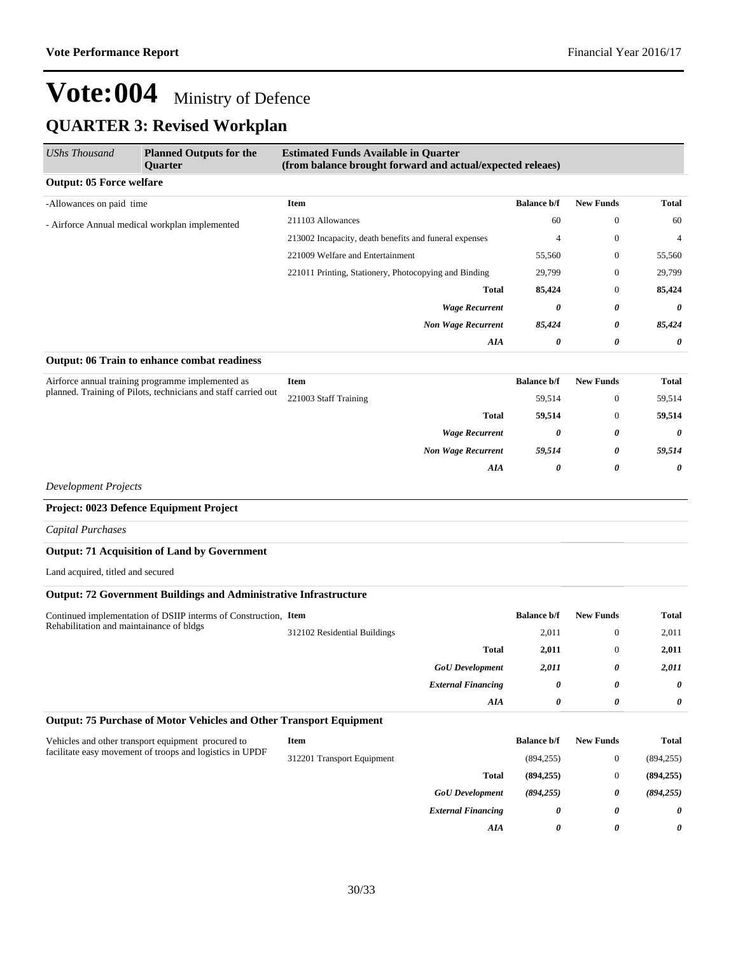| <b>UShs Thousand</b>                     | <b>Planned Outputs for the</b><br><b>Ouarter</b>                         | <b>Estimated Funds Available in Quarter</b><br>(from balance brought forward and actual/expected releaes) |                    |                  |              |
|------------------------------------------|--------------------------------------------------------------------------|-----------------------------------------------------------------------------------------------------------|--------------------|------------------|--------------|
| <b>Output: 05 Force welfare</b>          |                                                                          |                                                                                                           |                    |                  |              |
| -Allowances on paid time                 |                                                                          | Item                                                                                                      | <b>Balance b/f</b> | <b>New Funds</b> | <b>Total</b> |
|                                          | - Airforce Annual medical workplan implemented                           | 211103 Allowances                                                                                         | 60                 | $\boldsymbol{0}$ | 60           |
|                                          |                                                                          | 213002 Incapacity, death benefits and funeral expenses                                                    | $\overline{4}$     | $\boldsymbol{0}$ | 4            |
|                                          |                                                                          | 221009 Welfare and Entertainment                                                                          | 55,560             | $\mathbf{0}$     | 55,560       |
|                                          |                                                                          | 221011 Printing, Stationery, Photocopying and Binding                                                     | 29,799             | $\boldsymbol{0}$ | 29,799       |
|                                          |                                                                          | <b>Total</b>                                                                                              | 85,424             | $\boldsymbol{0}$ | 85,424       |
|                                          |                                                                          | <b>Wage Recurrent</b>                                                                                     | 0                  | 0                | 0            |
|                                          |                                                                          | <b>Non Wage Recurrent</b>                                                                                 | 85,424             | 0                | 85,424       |
|                                          |                                                                          | AIA                                                                                                       | 0                  | 0                | 0            |
|                                          | Output: 06 Train to enhance combat readiness                             |                                                                                                           |                    |                  |              |
|                                          | Airforce annual training programme implemented as                        | Item                                                                                                      | <b>Balance b/f</b> | <b>New Funds</b> | <b>Total</b> |
|                                          | planned. Training of Pilots, technicians and staff carried out           | 221003 Staff Training                                                                                     | 59,514             | $\boldsymbol{0}$ | 59,514       |
|                                          | <b>Total</b>                                                             | 59,514                                                                                                    | $\mathbf{0}$       | 59,514           |              |
|                                          |                                                                          | <b>Wage Recurrent</b>                                                                                     | 0                  | 0                | 0            |
|                                          |                                                                          | <b>Non Wage Recurrent</b>                                                                                 | 59,514             | 0                | 59,514       |
|                                          |                                                                          | AIA                                                                                                       | 0                  | 0                | 0            |
| <b>Development Projects</b>              |                                                                          |                                                                                                           |                    |                  |              |
|                                          | Project: 0023 Defence Equipment Project                                  |                                                                                                           |                    |                  |              |
| <b>Capital Purchases</b>                 |                                                                          |                                                                                                           |                    |                  |              |
|                                          | <b>Output: 71 Acquisition of Land by Government</b>                      |                                                                                                           |                    |                  |              |
| Land acquired, titled and secured        |                                                                          |                                                                                                           |                    |                  |              |
|                                          | <b>Output: 72 Government Buildings and Administrative Infrastructure</b> |                                                                                                           |                    |                  |              |
|                                          | Continued implementation of DSIIP interms of Construction, Item          |                                                                                                           | <b>Balance b/f</b> | <b>New Funds</b> | <b>Total</b> |
| Rehabilitation and maintainance of bldgs |                                                                          | 312102 Residential Buildings                                                                              | 2,011              | $\mathbf{0}$     | 2,011        |
|                                          |                                                                          | <b>Total</b>                                                                                              | 2,011              | $\mathbf{0}$     | 2,011        |
|                                          |                                                                          | <b>GoU</b> Development                                                                                    | 2,011              | 0                | 2,011        |
|                                          |                                                                          | <b>External Financing</b>                                                                                 | $\theta$           | 0                | 0            |
|                                          |                                                                          | AIA                                                                                                       | 0                  | 0                | 0            |
|                                          | Output: 75 Purchase of Motor Vehicles and Other Transport Equipment      |                                                                                                           |                    |                  |              |
|                                          | Vehicles and other transport equipment procured to                       | <b>Item</b>                                                                                               | <b>Balance b/f</b> | <b>New Funds</b> | <b>Total</b> |
|                                          | facilitate easy movement of troops and logistics in UPDF                 | 312201 Transport Equipment                                                                                | (894, 255)         | $\boldsymbol{0}$ | (894, 255)   |
|                                          |                                                                          | <b>Total</b>                                                                                              | (894, 255)         | $\mathbf{0}$     | (894, 255)   |
|                                          |                                                                          | <b>GoU</b> Development                                                                                    | (894, 255)         | 0                | (894, 255)   |
|                                          |                                                                          | <b>External Financing</b>                                                                                 | 0                  | 0                | 0            |
|                                          |                                                                          | AIA                                                                                                       | 0                  | 0                | 0            |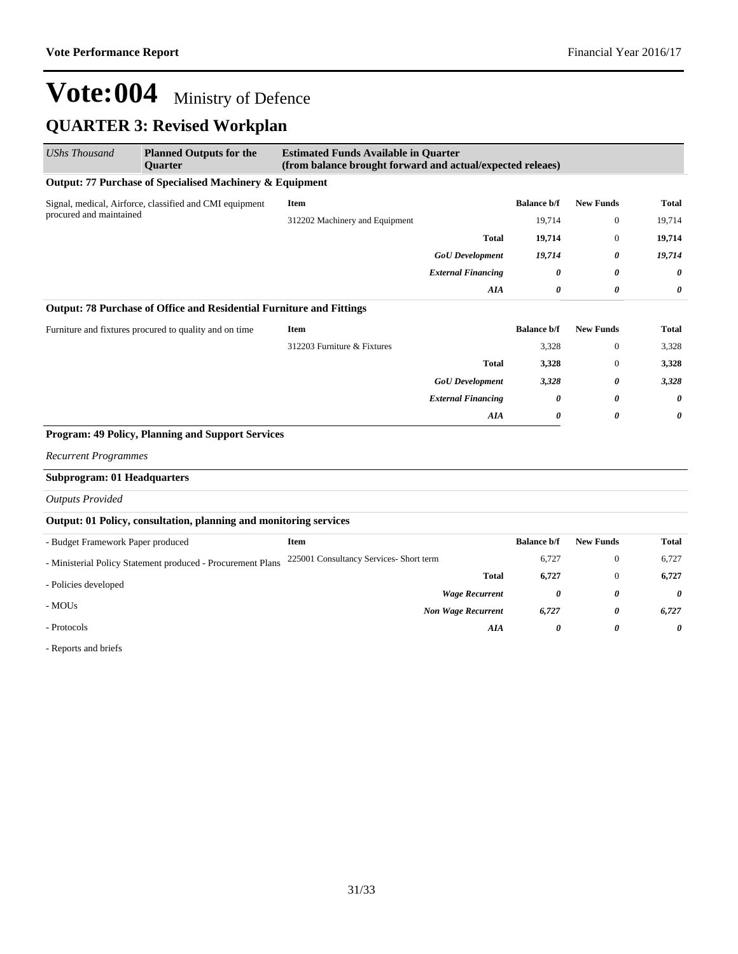### **QUARTER 3: Revised Workplan**

| <b>UShs Thousand</b>               | <b>Planned Outputs for the</b><br><b>Ouarter</b>                     | <b>Estimated Funds Available in Quarter</b><br>(from balance brought forward and actual/expected releaes) |                    |                  |                       |
|------------------------------------|----------------------------------------------------------------------|-----------------------------------------------------------------------------------------------------------|--------------------|------------------|-----------------------|
|                                    | Output: 77 Purchase of Specialised Machinery & Equipment             |                                                                                                           |                    |                  |                       |
|                                    | Signal, medical, Airforce, classified and CMI equipment              | Item                                                                                                      | <b>Balance b/f</b> | <b>New Funds</b> | <b>Total</b>          |
| procured and maintained            |                                                                      | 312202 Machinery and Equipment                                                                            | 19,714             | $\mathbf{0}$     | 19,714                |
|                                    |                                                                      | <b>Total</b>                                                                                              | 19,714             | $\mathbf{0}$     | 19,714                |
|                                    |                                                                      | <b>GoU</b> Development                                                                                    | 19,714             | 0                | 19,714                |
|                                    |                                                                      | <b>External Financing</b>                                                                                 | 0                  | 0                | $\boldsymbol{\theta}$ |
|                                    |                                                                      | AIA                                                                                                       | 0                  | 0                | 0                     |
|                                    | Output: 78 Purchase of Office and Residential Furniture and Fittings |                                                                                                           |                    |                  |                       |
|                                    | Furniture and fixtures procured to quality and on time               | Item                                                                                                      | <b>Balance b/f</b> | <b>New Funds</b> | <b>Total</b>          |
|                                    |                                                                      | 312203 Furniture & Fixtures                                                                               | 3,328              | $\mathbf{0}$     | 3,328                 |
|                                    |                                                                      | <b>Total</b>                                                                                              | 3,328              | $\Omega$         | 3,328                 |
|                                    |                                                                      | <b>GoU</b> Development                                                                                    | 3,328              | 0                | 3,328                 |
|                                    |                                                                      | <b>External Financing</b>                                                                                 | 0                  | 0                | $\boldsymbol{\theta}$ |
|                                    |                                                                      | AIA                                                                                                       | 0                  | 0                | 0                     |
|                                    | <b>Program: 49 Policy, Planning and Support Services</b>             |                                                                                                           |                    |                  |                       |
| <b>Recurrent Programmes</b>        |                                                                      |                                                                                                           |                    |                  |                       |
| <b>Subprogram: 01 Headquarters</b> |                                                                      |                                                                                                           |                    |                  |                       |
| <b>Outputs Provided</b>            |                                                                      |                                                                                                           |                    |                  |                       |
|                                    | Output: 01 Policy, consultation, planning and monitoring services    |                                                                                                           |                    |                  |                       |
| - Budget Framework Paper produced  |                                                                      | Item                                                                                                      | <b>Balance b/f</b> | <b>New Funds</b> | <b>Total</b>          |
|                                    | - Ministerial Policy Statement produced - Procurement Plans          | 225001 Consultancy Services- Short term                                                                   | 6,727              | $\mathbf{0}$     | 6,727                 |
| - Policies developed               |                                                                      | <b>Total</b>                                                                                              | 6,727              | $\Omega$         | 6,727                 |
|                                    |                                                                      | <b>Wage Recurrent</b>                                                                                     | 0                  | 0                | $\boldsymbol{\theta}$ |
| - MOUs                             |                                                                      | <b>Non Wage Recurrent</b>                                                                                 | 6,727              | 0                | 6,727                 |
| - Protocols                        |                                                                      | AIA                                                                                                       | 0                  | 0                | 0                     |

- Reports and briefs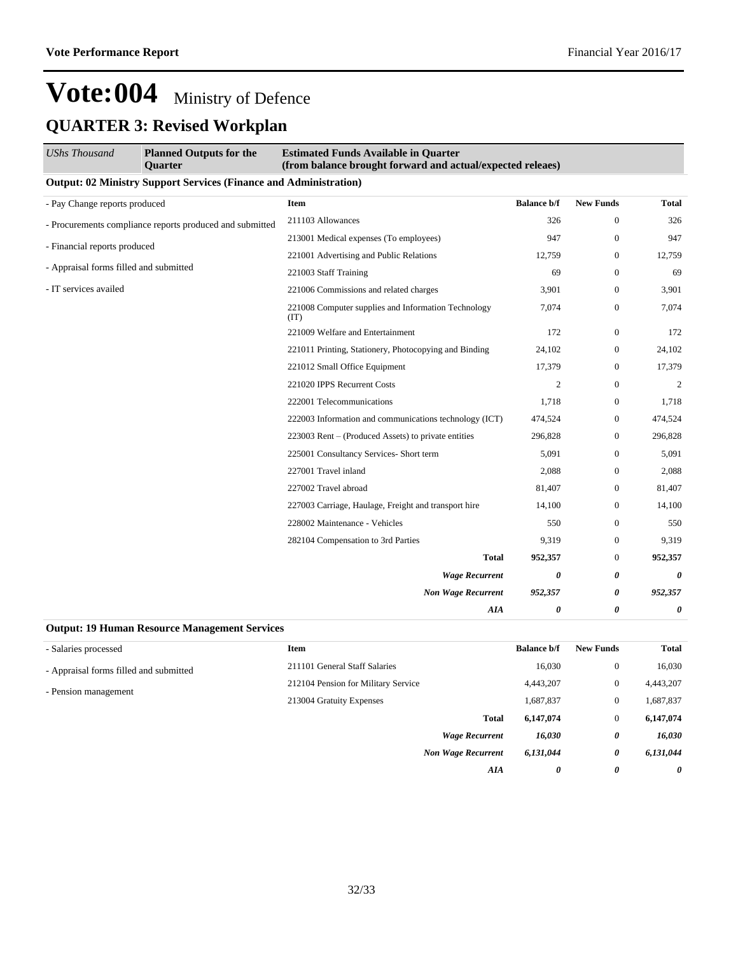| <b>UShs Thousand</b>                   | <b>Planned Outputs for the</b><br><b>Ouarter</b>                         | <b>Estimated Funds Available in Quarter</b><br>(from balance brought forward and actual/expected releaes) |                    |                  |                |
|----------------------------------------|--------------------------------------------------------------------------|-----------------------------------------------------------------------------------------------------------|--------------------|------------------|----------------|
|                                        | <b>Output: 02 Ministry Support Services (Finance and Administration)</b> |                                                                                                           |                    |                  |                |
| - Pay Change reports produced          |                                                                          | Item                                                                                                      | <b>Balance b/f</b> | <b>New Funds</b> | <b>Total</b>   |
|                                        | - Procurements compliance reports produced and submitted                 | 211103 Allowances                                                                                         | 326                | $\boldsymbol{0}$ | 326            |
|                                        | - Financial reports produced                                             | 213001 Medical expenses (To employees)                                                                    | 947                | $\mathbf{0}$     | 947            |
|                                        |                                                                          | 221001 Advertising and Public Relations                                                                   | 12,759             | $\mathbf{0}$     | 12,759         |
| - Appraisal forms filled and submitted |                                                                          | 221003 Staff Training                                                                                     | 69                 | $\mathbf{0}$     | 69             |
| - IT services availed                  |                                                                          | 221006 Commissions and related charges                                                                    | 3,901              | $\boldsymbol{0}$ | 3,901          |
|                                        |                                                                          | 221008 Computer supplies and Information Technology<br>(TT)                                               | 7,074              | $\boldsymbol{0}$ | 7,074          |
|                                        |                                                                          | 221009 Welfare and Entertainment                                                                          | 172                | $\mathbf{0}$     | 172            |
|                                        |                                                                          | 221011 Printing, Stationery, Photocopying and Binding                                                     | 24,102             | $\boldsymbol{0}$ | 24,102         |
|                                        |                                                                          | 221012 Small Office Equipment                                                                             | 17,379             | $\mathbf{0}$     | 17,379         |
|                                        |                                                                          | 221020 IPPS Recurrent Costs                                                                               | $\mathfrak{2}$     | $\mathbf{0}$     | $\overline{2}$ |
|                                        |                                                                          | 222001 Telecommunications                                                                                 | 1,718              | $\boldsymbol{0}$ | 1,718          |
|                                        |                                                                          | 222003 Information and communications technology (ICT)                                                    | 474,524            | $\boldsymbol{0}$ | 474,524        |
|                                        |                                                                          | 223003 Rent – (Produced Assets) to private entities                                                       | 296,828            | $\mathbf{0}$     | 296,828        |
|                                        |                                                                          | 225001 Consultancy Services- Short term                                                                   | 5,091              | $\mathbf{0}$     | 5,091          |
|                                        |                                                                          | 227001 Travel inland                                                                                      | 2,088              | $\mathbf{0}$     | 2,088          |
|                                        |                                                                          | 227002 Travel abroad                                                                                      | 81,407             | $\mathbf{0}$     | 81,407         |
|                                        |                                                                          | 227003 Carriage, Haulage, Freight and transport hire                                                      | 14,100             | $\mathbf{0}$     | 14,100         |
|                                        |                                                                          | 228002 Maintenance - Vehicles                                                                             | 550                | $\mathbf{0}$     | 550            |
|                                        |                                                                          | 282104 Compensation to 3rd Parties                                                                        | 9,319              | $\mathbf{0}$     | 9,319          |
|                                        |                                                                          | <b>Total</b>                                                                                              | 952,357            | $\boldsymbol{0}$ | 952,357        |
|                                        |                                                                          | <b>Wage Recurrent</b>                                                                                     | 0                  | 0                | 0              |
|                                        |                                                                          | <b>Non Wage Recurrent</b>                                                                                 | 952,357            | 0                | 952,357        |
|                                        |                                                                          | AIA                                                                                                       | 0                  | 0                | $\theta$       |

#### **Output: 19 Human Resource Management Services**

| - Salaries processed                   | Item                                | <b>Balance b/f</b> | <b>New Funds</b> | <b>Total</b> |
|----------------------------------------|-------------------------------------|--------------------|------------------|--------------|
| - Appraisal forms filled and submitted | 211101 General Staff Salaries       | 16,030             | $\overline{0}$   | 16,030       |
|                                        | 212104 Pension for Military Service | 4,443,207          | $\overline{0}$   | 4,443,207    |
| - Pension management                   | 213004 Gratuity Expenses            | 1,687,837          | $\theta$         | 1,687,837    |
|                                        | <b>Total</b>                        | 6,147,074          | $\mathbf{0}$     | 6,147,074    |
|                                        | <b>Wage Recurrent</b>               | 16,030             | 0                | 16,030       |
|                                        | <b>Non Wage Recurrent</b>           | 6,131,044          | 0                | 6,131,044    |
|                                        | AIA                                 | 0                  | 0                | 0            |